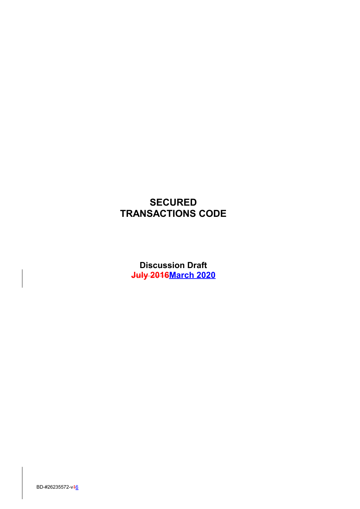# **SECURED TRANSACTIONS CODE**

**Discussion Draft July 2016March 2020**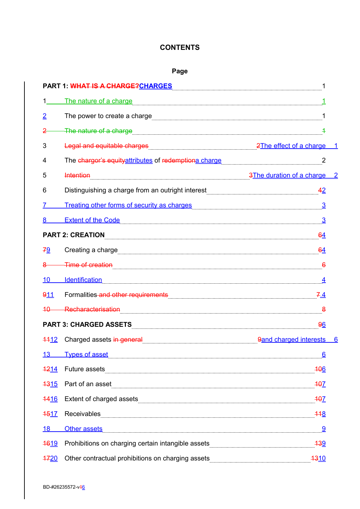## **CONTENTS**

## **Page**

|                  | PART 1: WHAT IS A CHARGE?CHARGES                                                                                                                                                                                                                         |                        |   |
|------------------|----------------------------------------------------------------------------------------------------------------------------------------------------------------------------------------------------------------------------------------------------------|------------------------|---|
|                  | The nature of a charge <b>contract of a charge</b> and a structure of a charge of a charge of a charge of a charge of a charge of a charge of a charge of a charge of a charge of a charge of a charge of a charge of a charge of a                      |                        |   |
| $\overline{2}$   | The power to create a charge                                                                                                                                                                                                                             |                        |   |
|                  | The nature of a charge <b>communication in the contract of a charge</b> of the contract of the contract of the contract of the contract of the contract of the contract of the contract of the contract of the contract of the cont                      |                        |   |
| 3                | Legal and equitable charges <b>Exercise 2</b> 2 The effect of a charge                                                                                                                                                                                   |                        |   |
| 4                | The chargor's equityattributes of redemptiona charge manuscreated and contain the charge of the charge of the                                                                                                                                            | $\overline{2}$         |   |
| 5                | <u>3The duration of a charge 35 metals and the set of a set of a set of a set of a set of a set of a set of a set of a set of a set of a set of a set of a set of a set of a set of a set of a set of a set of a set of a set of</u><br><b>Intention</b> |                        |   |
| 6                | Distinguishing a charge from an outright interest [11] Distinguishing a charge from an outright interest                                                                                                                                                 |                        |   |
|                  | Treating other forms of security as charges Treating Contract 2                                                                                                                                                                                          |                        |   |
|                  | <b>Extent of the Code</b>                                                                                                                                                                                                                                | $\overline{3}$         |   |
|                  | <b>PART 2: CREATION</b>                                                                                                                                                                                                                                  | 64                     |   |
| 79               | Creating a charge <b>contract of the contract of the contract of the contract of the contract of the contract of the contract of the contract of the contract of the contract of the contract of the contract of the contract of</b>                     | <u>64</u>              |   |
|                  | Time of creation                                                                                                                                                                                                                                         | -6                     |   |
| 10               | Identification                                                                                                                                                                                                                                           | $\overline{4}$         |   |
| 911              | Formalities-and other requirements <b>Example 24</b> 24                                                                                                                                                                                                  |                        |   |
| 40-              | Recharacterisation                                                                                                                                                                                                                                       | 8                      |   |
|                  | <b>PART 3: CHARGED ASSETS</b>                                                                                                                                                                                                                            | 96                     |   |
| <u> 4412 </u>    | Charged assets in general                                                                                                                                                                                                                                | 9and charged interests | 6 |
| 13               | <b>Types of asset</b>                                                                                                                                                                                                                                    | $\underline{6}$        |   |
| <b>1214</b>      | Future assets                                                                                                                                                                                                                                            | 106                    |   |
| <del>13</del> 15 | Part of an asset                                                                                                                                                                                                                                         | 40Z                    |   |
| <b>4416</b>      | Extent of charged assets                                                                                                                                                                                                                                 | 40Z                    |   |
| <u>4517</u>      | Receivables                                                                                                                                                                                                                                              | <u> 448</u>            |   |
| <u> 18</u>       | Other assets                                                                                                                                                                                                                                             | 9                      |   |
| <u>4619</u>      |                                                                                                                                                                                                                                                          | <u>139</u>             |   |
| <b>4720</b>      |                                                                                                                                                                                                                                                          | 4310                   |   |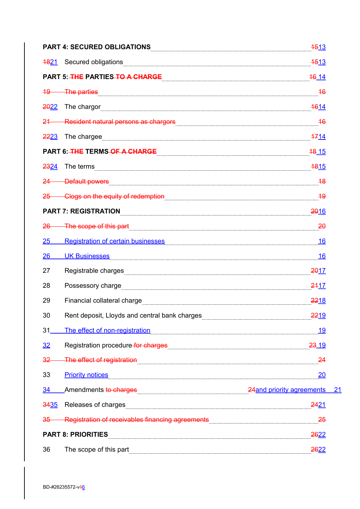|               | PART 4: SECURED OBLIGATIONS PART 2014                                                                                                                                                                                                | <b>4513</b>      |            |
|---------------|--------------------------------------------------------------------------------------------------------------------------------------------------------------------------------------------------------------------------------------|------------------|------------|
|               | 1821 Secured obligations <b>Manual Community Community</b> Secured obligations<br><del>1513</del>                                                                                                                                    |                  |            |
|               | <b>PART 5: THE PARTIES TO A CHARGE</b>                                                                                                                                                                                               | <del>16</del> 14 |            |
|               | 19 The parties                                                                                                                                                                                                                       | 46               |            |
| <u> 2022 </u> | The chargor                                                                                                                                                                                                                          | <b>1614</b>      |            |
|               | 21 Resident natural persons as chargors exchanged and all the Resident natural and the contract of the Resident                                                                                                                      |                  |            |
|               | 2223 The chargee <b>1714</b>                                                                                                                                                                                                         |                  |            |
|               | PART 6: <del>THE</del> TERMS OF A CHARGE <b>CONSTRUSTED BY A CHARGE</b>                                                                                                                                                              | <del>18</del> 15 |            |
|               | 2324 The terms <b>Executive Contract Contract Contract Contract Contract Contract Contract Contract Contract Contract Contract Contract Contract Contract Contract Contract Contract Contract Contract Contract Contract Contrac</b> | <del>18</del> 15 |            |
|               |                                                                                                                                                                                                                                      |                  |            |
| 25            | Clogs on the equity of redemption <b>container and all the equity of redemption</b>                                                                                                                                                  |                  |            |
|               | PART 7: REGISTRATION                                                                                                                                                                                                                 | 2016             |            |
| 26            | The scope of this part <b>contract the scope of this part</b>                                                                                                                                                                        | 20               |            |
| 25            | Registration of certain businesses                                                                                                                                                                                                   | <u>16</u>        |            |
| 26            | <b>UK Businesses</b>                                                                                                                                                                                                                 | <u>16</u>        |            |
| 27            | Registrable charges [198] [198] [198] [198] [198] [198] [198] [198] [198] [198] [198] [198] [198] [198] [198] [                                                                                                                      | <del>20</del> 17 |            |
| 28            | Possessory charge <b>Exercise Section Control</b> and Construction Construction Construction Construction Construction                                                                                                               | 2417             |            |
| 29            | Financial collateral charge                                                                                                                                                                                                          | 2218             |            |
| 30            | Rent deposit, Lloyds and central bank charges                                                                                                                                                                                        | 2219             |            |
| 31            | The effect of non-registration <b>contained a set of the effect of non-registration</b>                                                                                                                                              | <u>19</u>        |            |
| 32            | Registration procedure for charges                                                                                                                                                                                                   | 23_ <u>19</u>    |            |
| <del>32</del> | -The effect of registration                                                                                                                                                                                                          | 24               |            |
| 33            | Priority notices <b>Priority notices</b>                                                                                                                                                                                             | 20               |            |
| 34            | Amendments <del>to charges entitled and analysis and priority agreements of</del>                                                                                                                                                    |                  | <u> 21</u> |
| 3435          | Releases of charges                                                                                                                                                                                                                  | 2421             |            |
| 35-           |                                                                                                                                                                                                                                      | 25               |            |
|               | <b>PART 8: PRIORITIES</b><br>2622                                                                                                                                                                                                    |                  |            |
| 36            | The scope of this part                                                                                                                                                                                                               | 2622             |            |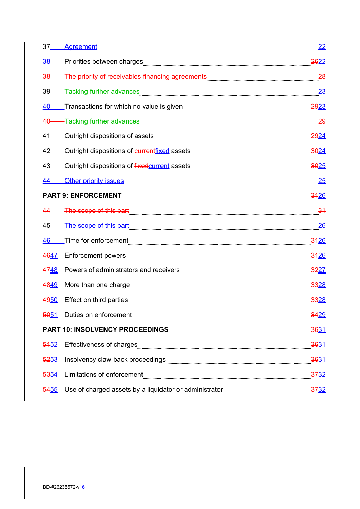| 37        | <b>Agreement</b>                                       | 22   |
|-----------|--------------------------------------------------------|------|
| <u>38</u> | Priorities between charges                             | 2622 |
| 38        | The priority of receivables financing agreements       | 28   |
| 39        | <b>Tacking further advances</b>                        | 23   |
| 40        |                                                        | 2923 |
| 40        | <b>Tacking further advances</b>                        | 29   |
| 41        | Outright dispositions of assets                        | 2924 |
| 42        |                                                        | 3024 |
| 43        | Outright dispositions of <b>fixed current</b> assets   | 3025 |
| <u>44</u> | Other priority issues                                  | 25   |
|           | <b>PART 9: ENFORCEMENT</b>                             | 3426 |
| 44        | The scope of this part                                 | 34   |
| 45        | The scope of this part                                 | 26   |
| 46        | Time for enforcement                                   | 3426 |
| 4647      | Enforcement powers                                     | 3426 |
| 4748      | Powers of administrators and receivers                 | 3227 |
| 4849      | More than one charge                                   | 3328 |
| 4950      | Effect on third parties                                | 3328 |
|           | 5051 Duties on enforcement                             | 3429 |
|           | <b>PART 10: INSOLVENCY PROCEEDINGS</b>                 | 3631 |
| 5452      | Effectiveness of charges                               | 3631 |
| 5253      | Insolvency claw-back proceedings                       | 3631 |
| 5354      | Limitations of enforcement                             | 3732 |
| 5455      | Use of charged assets by a liquidator or administrator | 3732 |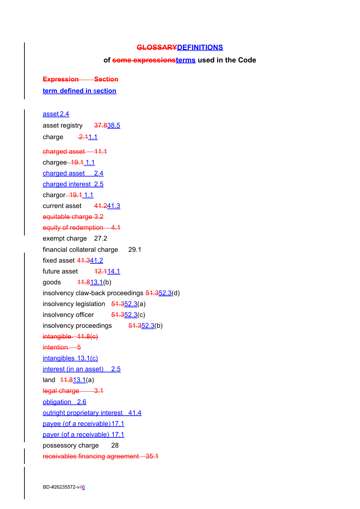#### **GLOSSARYDEFINITIONS**

#### **of some expressionsterms used in the Code**

**Expression Section term defined in** s**ection**

asset 2.4 asset registry 37.838.5 charge  $-2.11.1$  $chared$  asset  $-11.1$ chargee  $-19.1$  1.1 charged asset 2.4 charged interest 2.5 chargor $-19.4$  1.1 current asset 41.241.3 equitable charge 3.2 equity of redemption 4.1 exempt charge 27.2 financial collateral charge 29.1 fixed asset 41.341.2 future asset  $12.114.1$ goods 11.813.1(b) insolvency claw-back proceedings 51.352.3(d) insolvency legislation  $\frac{54.352.3}{a}$ insolvency officer  $51.352.3(c)$ insolvency proceedings  $54.352.3(b)$ intangible 11.8(c) intention 5 intangibles 13.1(c) interest (in an asset) 2.5 land  $44.813.1(a)$ legal charge 3.1 obligation 2.6 outright proprietary interest 41.4 payee (of a receivable) 17.1 payer (of a receivable) 17.1 possessory charge 28 receivables financing agreement 35.1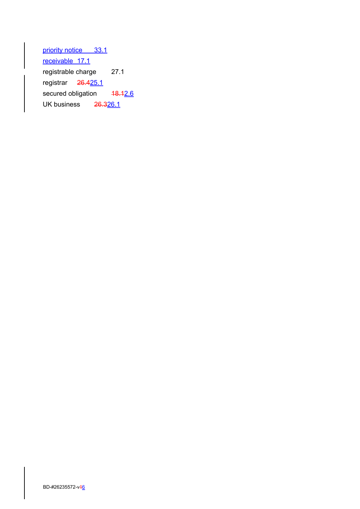priority notice 33.1 receivable 17.1 registrable charge 27.1 registrar 26.425.1 secured obligation 18.12.6 UK business 26.326.1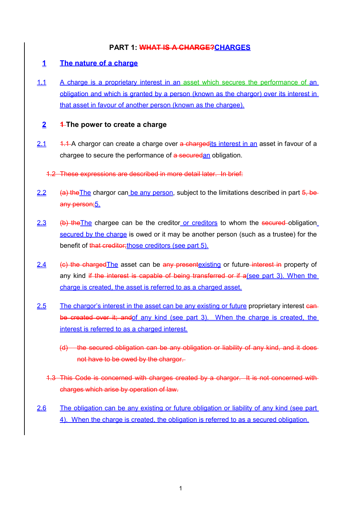## **PART 1: WHAT IS A CHARGE?CHARGES**

## **1 The nature of a charge**

1.1 A charge is a proprietary interest in an asset which secures the performance of an obligation and which is granted by a person (known as the chargor) over its interest in that asset in favour of another person (known as the chargee).

## **2 1 The power to create a charge**

2.1 4.1 A chargor can create a charge over a chargedits interest in an asset in favour of a chargee to secure the performance of a securedan obligation.

1.2 These expressions are described in more detail later. In brief:

- 2.2 (a) the The chargor can be any person, subject to the limitations described in part  $\frac{5}{2}$ , be any person;5.
- 2.3 (b) the The chargee can be the creditor or creditors to whom the secured obligation secured by the charge is owed or it may be another person (such as a trustee) for the benefit of that creditor; those creditors (see part 5).
- 2.4 (c) the charged The asset can be any presentexisting or future interest in property of any kind if the interest is capable of being transferred or if a(see part 3). When the charge is created, the asset is referred to as a charged asset.
- 2.5 The chargor's interest in the asset can be any existing or future proprietary interest canbe created over it; andof any kind (see part 3). When the charge is created, the interest is referred to as a charged interest.
	- (d) the secured obligation can be any obligation or liability of any kind, and it does not have to be owed by the chargor.
	- 1.3 This Code is concerned with charges created by a chargor. It is not concerned with charges which arise by operation of law.
- 2.6 The obligation can be any existing or future obligation or liability of any kind (see part 4). When the charge is created, the obligation is referred to as a secured obligation.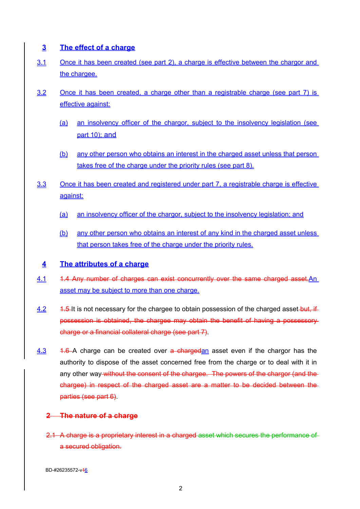## **3 The effect of a charge**

- 3.1 Once it has been created (see part 2), a charge is effective between the chargor and the chargee.
- 3.2 Once it has been created, a charge other than a registrable charge (see part 7) is effective against:
	- (a) an insolvency officer of the chargor, subject to the insolvency legislation (see part 10); and
	- (b) any other person who obtains an interest in the charged asset unless that person takes free of the charge under the priority rules (see part 8).
- 3.3 Once it has been created and registered under part 7, a registrable charge is effective against:
	- (a) an insolvency officer of the chargor, subject to the insolvency legislation; and
	- (b) any other person who obtains an interest of any kind in the charged asset unless that person takes free of the charge under the priority rules.

## **4 The attributes of a charge**

- 4.1 4.4 Any number of charges can exist concurrently over the same charged asset.An asset may be subject to more than one charge.
- 4.2 4.5 It is not necessary for the chargee to obtain possession of the charged asset but, if possession is obtained, the chargee may obtain the benefit of having a possessory charge or a financial collateral charge (see part 7).
- 4.3 4.6 A charge can be created over a chargedan asset even if the chargor has the authority to dispose of the asset concerned free from the charge or to deal with it in any other way without the consent of the chargee. The powers of the chargor (and the chargee) in respect of the charged asset are a matter to be decided between the parties (see part 6).

## **2 The nature of a charge**

2.1 A charge is a proprietary interest in a charged asset which secures the performance of a secured obligation.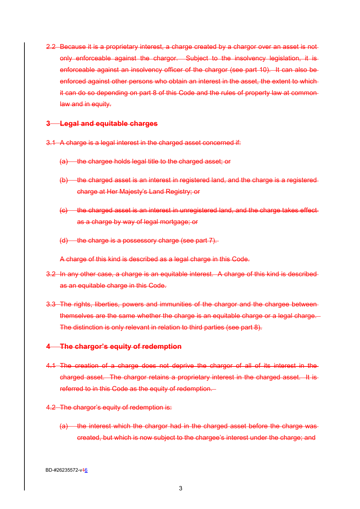2.2 Because it is a proprietary interest, a charge created by a chargor over an asset is not only enforceable against the chargor. Subject to the insolvency legislation, it is enforceable against an insolvency officer of the chargor (see part 10). It can also be enforced against other persons who obtain an interest in the asset, the extent to which it can do so depending on part 8 of this Code and the rules of property law at common law and in equity.

#### **3 Legal and equitable charges**

- 3.1 A charge is a legal interest in the charged asset concerned if:
	- (a) the chargee holds legal title to the charged asset; or
	- (b) the charged asset is an interest in registered land, and the charge is a registered charge at Her Majesty's Land Registry; or
	- (c) the charged asset is an interest in unregistered land, and the charge takes effect as a charge by way of legal mortgage; or
	- $(d)$  the charge is a possessory charge (see part  $7$ ).

A charge of this kind is described as a legal charge in this Code.

- 3.2 In any other case, a charge is an equitable interest. A charge of this kind is described as an equitable charge in this Code.
- 3.3 The rights, liberties, powers and immunities of the chargor and the chargee between themselves are the same whether the charge is an equitable charge or a legal charge. The distinction is only relevant in relation to third parties (see part 8).

#### **4 The chargor's equity of redemption**

- 4.1 The creation of a charge does not deprive the chargor of all of its interest in the charged asset. The chargor retains a proprietary interest in the charged asset. It is referred to in this Code as the equity of redemption.
- 4.2 The chargor's equity of redemption is:
	- (a) the interest which the chargor had in the charged asset before the charge was created, but which is now subject to the chargee's interest under the charge; and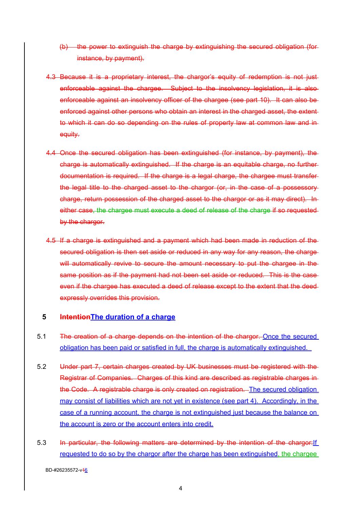- (b) the power to extinguish the charge by extinguishing the secured obligation (for instance, by payment).
- 4.3 Because it is a proprietary interest, the chargor's equity of redemption is not justenforceable against the chargee. Subject to the insolvency legislation, it is alsoenforceable against an insolvency officer of the chargee (see part 10). It can also be enforced against other persons who obtain an interest in the charged asset, the extent to which it can do so depending on the rules of property law at common law and in equity.
- 4.4 Once the secured obligation has been extinguished (for instance, by payment), the charge is automatically extinguished. If the charge is an equitable charge, no further documentation is required. If the charge is a legal charge, the chargee must transfer the legal title to the charged asset to the chargor (or, in the case of a possessory charge, return possession of the charged asset to the chargor or as it may direct). In either case, the chargee must execute a deed of release of the charge if so requested by the chargor.
- 4.5 If a charge is extinguished and a payment which had been made in reduction of the secured obligation is then set aside or reduced in any way for any reason, the chargewill automatically revive to secure the amount necessary to put the chargee in the same position as if the payment had not been set aside or reduced. This is the case even if the chargee has executed a deed of release except to the extent that the deed expressly overrides this provision.

### **5 IntentionThe duration of a charge**

- 5.1 The creation of a charge depends on the intention of the chargor. Once the secured obligation has been paid or satisfied in full, the charge is automatically extinguished.
- 5.2 Under part 7, certain charges created by UK businesses must be registered with the Registrar of Companies. Charges of this kind are described as registrable charges in the Code. A registrable charge is only created on registration. The secured obligation may consist of liabilities which are not yet in existence (see part 4). Accordingly, in the case of a running account, the charge is not extinguished just because the balance on the account is zero or the account enters into credit.
- 5.3 In particular, the following matters are determined by the intention of the chargor: If requested to do so by the chargor after the charge has been extinguished, the chargee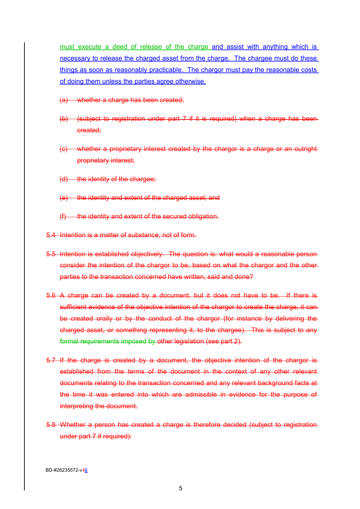must execute a deed of release of the charge and assist with anything which is necessary to release the charged asset from the charge. The chargee must do these things as soon as reasonably practicable. The chargor must pay the reasonable costs of doing them unless the parties agree otherwise.

- (a) whether a charge has been created;
- (b) (subject to registration under part 7 if it is required) when a charge has been created;
- (c) whether a proprietary interest created by the chargor is a charge or an outright proprietary interest;
- (d) the identity of the chargee;
- (e) the identity and extent of the charged asset; and
- $(f)$  the identity and extent of the secured obligation.
- 5.4 Intention is a matter of substance, not of form.
- 5.5 Intention is established objectively. The question is: what would a reasonable personconsider the intention of the chargor to be, based on what the chargor and the other parties to the transaction concerned have written, said and done?
- 5.6 A charge can be created by a document, but it does not have to be. If there is sufficient evidence of the objective intention of the chargor to create the charge, it canbe created orally or by the conduct of the chargor (for instance by delivering the charged asset, or something representing it, to the chargee). This is subject to any formal requirements imposed by other legislation (see part 2).
- 5.7 If the charge is created by a document, the objective intention of the chargor is established from the terms of the document in the context of any other relevant documents relating to the transaction concerned and any relevant background facts at the time it was entered into which are admissible in evidence for the purpose of interpreting the document.
- 5.8 Whether a person has created a charge is therefore decided (subject to registration under part 7 if required):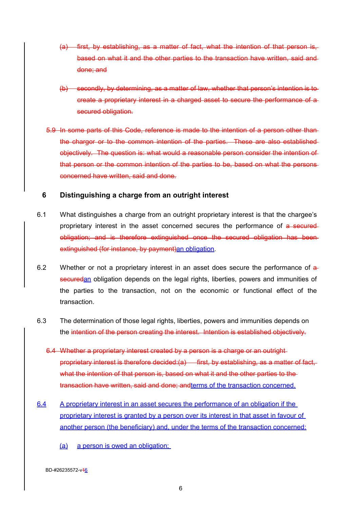- (a) first, by establishing, as a matter of fact, what the intention of that person is, based on what it and the other parties to the transaction have written, said and done; and
- (b) secondly, by determining, as a matter of law, whether that person's intention is to create a proprietary interest in a charged asset to secure the performance of a secured obligation.
- 5.9 In some parts of this Code, reference is made to the intention of a person other than the chargor or to the common intention of the parties. These are also established objectively. The question is: what would a reasonable person consider the intention of that person or the common intention of the parties to be, based on what the persons concerned have written, said and done.

#### **6 Distinguishing a charge from an outright interest**

- 6.1 What distinguishes a charge from an outright proprietary interest is that the chargee's proprietary interest in the asset concerned secures the performance of a secured obligation; and is therefore extinguished once the secured obligation has been extinguished (for instance, by payment)an obligation.
- 6.2 Whether or not a proprietary interest in an asset does secure the performance of  $a$ securedan obligation depends on the legal rights, liberties, powers and immunities of the parties to the transaction, not on the economic or functional effect of the transaction.
- 6.3 The determination of those legal rights, liberties, powers and immunities depends on the intention of the person creating the interest. Intention is established objectively.
	- 6.4 Whether a proprietary interest created by a person is a charge or an outright proprietary interest is therefore decided: $(a)$  first, by establishing, as a matter of fact, what the intention of that person is, based on what it and the other parties to the transaction have written, said and done; andterms of the transaction concerned.
- 6.4 A proprietary interest in an asset secures the performance of an obligation if the proprietary interest is granted by a person over its interest in that asset in favour of another person (the beneficiary) and, under the terms of the transaction concerned:
	- (a) a person is owed an obligation;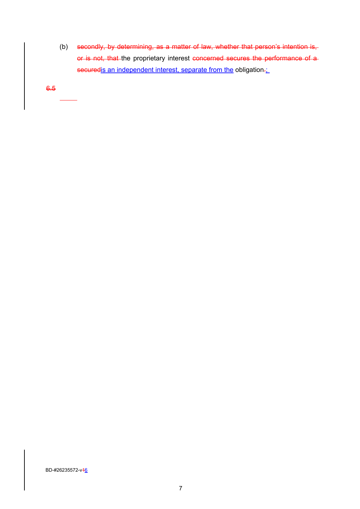(b) secondly, by determining, as a matter of law, whether that person's intention is, or is not, that the proprietary interest concerned secures the performance of a securedis an independent interest, separate from the obligation-;

6.5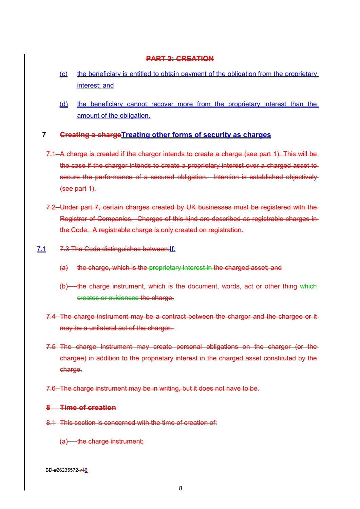#### **PART 2: CREATION**

- (c) the beneficiary is entitled to obtain payment of the obligation from the proprietary interest; and
- (d) the beneficiary cannot recover more from the proprietary interest than the amount of the obligation.

#### **7 Creating a chargeTreating other forms of security as charges**

- 7.1 A charge is created if the chargor intends to create a charge (see part 1). This will be the case if the chargor intends to create a proprietary interest over a charged asset to secure the performance of a secured obligation. Intention is established objectively (see part 1).
- 7.2 Under part 7, certain charges created by UK businesses must be registered with the Registrar of Companies. Charges of this kind are described as registrable charges in the Code. A registrable charge is only created on registration.
- 7.1 7.3 The Code distinguishes between: If:
	- (a) the charge, which is the proprietary interest in the charged asset; and
	- (b) the charge instrument, which is the document, words, act or other thing which creates or evidences the charge.
	- 7.4-The charge instrument may be a contract between the chargor and the chargee or itmay be a unilateral act of the chargor.
	- 7.5 The charge instrument may create personal obligations on the chargor (or the chargee) in addition to the proprietary interest in the charged asset constituted by the charge.
	- 7.6 The charge instrument may be in writing, but it does not have to be.

#### **8 Time of creation**

8.1 This section is concerned with the time of creation of:

 $(a)$  the charge instrument;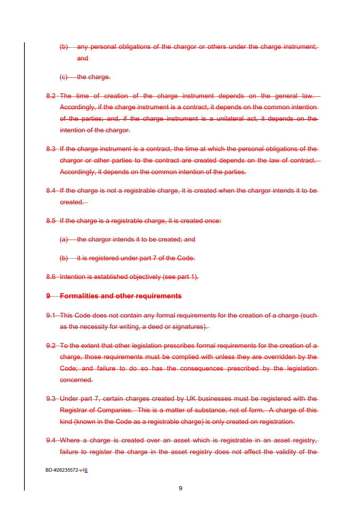(b) any personal obligations of the chargor or others under the charge instrument; and

 $(c)$  the charge.

- 8.2 The time of creation of the charge instrument depends on the general law. Accordingly, if the charge instrument is a contract, it depends on the common intention of the parties; and, if the charge instrument is a unilateral act, it depends on the intention of the chargor.
- 8.3 If the charge instrument is a contract, the time at which the personal obligations of the chargor or other parties to the contract are created depends on the law of contract. Accordingly, it depends on the common intention of the parties.
- 8.4 If the charge is not a registrable charge, it is created when the chargor intends it to be created.
- 8.5 If the charge is a registrable charge, it is created once:
	- (a) the chargor intends it to be created; and
	- $(b)$  it is registered under part 7 of the Code.
- 8.6 Intention is established objectively (see part 1).

#### **9 Formalities and other requirements**

- 9.1 This Code does not contain any formal requirements for the creation of a charge (suchas the necessity for writing, a deed or signatures).
- 9.2 To the extent that other legislation prescribes formal requirements for the creation of a charge, those requirements must be complied with unless they are overridden by the Code; and failure to do so has the consequences prescribed by the legislation concerned.
- 9.3 Under part 7, certain charges created by UK businesses must be registered with the Registrar of Companies. This is a matter of substance, not of form. A charge of this kind (known in the Code as a registrable charge) is only created on registration.
- 9.4 Where a charge is created over an asset which is registrable in an asset registry, failure to register the charge in the asset registry does not affect the validity of the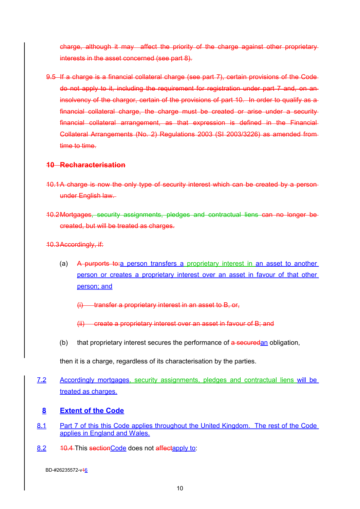charge, although it may affect the priority of the charge against other proprietary interests in the asset concerned (see part 8).

9.5 If a charge is a financial collateral charge (see part 7), certain provisions of the Code do not apply to it, including the requirement for registration under part 7 and, on an insolvency of the chargor, certain of the provisions of part 10. In order to qualify as a financial collateral charge, the charge must be created or arise under a security financial collateral arrangement, as that expression is defined in the Financial Collateral Arrangements (No. 2) Regulations 2003 (SI 2003/3226) as amended from time to time.

#### **10 Recharacterisation**

- 10.1A charge is now the only type of security interest which can be created by a person under English law.
- 10.2Mortgages, security assignments, pledges and contractual liens can no longer be created, but will be treated as charges.

10.3Accordingly, if:

- (a) A purports to:a person transfers a proprietary interest in an asset to another person or creates a proprietary interest over an asset in favour of that other person; and
	- $(i)$  transfer a proprietary interest in an asset to B, or,
	- (ii) create a proprietary interest over an asset in favour of B; and
- (b) that proprietary interest secures the performance of  $\alpha$  securedan obligation,

then it is a charge, regardless of its characterisation by the parties.

- 7.2 Accordingly mortgages, security assignments, pledges and contractual liens will be treated as charges.
	- **8 Extent of the Code**
- 8.1 Part 7 of this this Code applies throughout the United Kingdom. The rest of the Code applies in England and Wales.
- 8.2 10.4 This section Code does not affectapply to: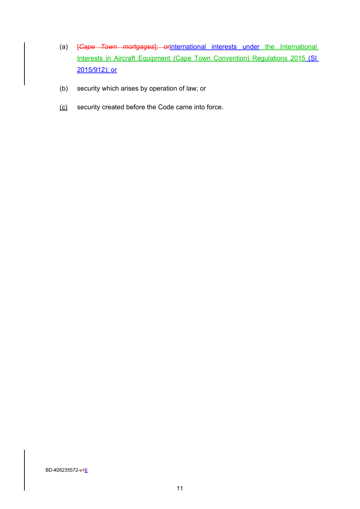- (a) [*Cape Town mortgages*]; orinternational interests under the International Interests in Aircraft Equipment (Cape Town Convention) Regulations 2015 (SI 2015/912); or
- (b) security which arises by operation of law; or
- $(c)$  security created before the Code came into force.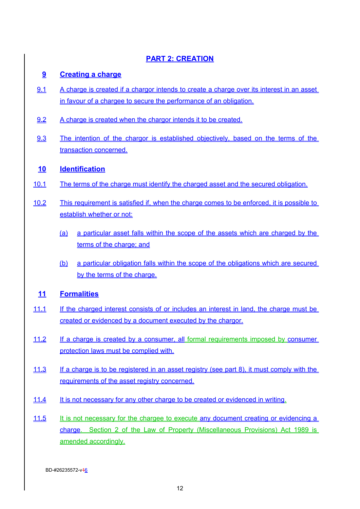## **PART 2: CREATION**

## **9 Creating a charge**

- 9.1 A charge is created if a chargor intends to create a charge over its interest in an asset in favour of a chargee to secure the performance of an obligation.
- 9.2 A charge is created when the chargor intends it to be created.
- 9.3 The intention of the chargor is established objectively, based on the terms of the transaction concerned.

## **10 Identification**

- 10.1 The terms of the charge must identify the charged asset and the secured obligation.
- 10.2 This requirement is satisfied if, when the charge comes to be enforced, it is possible to establish whether or not:
	- (a) a particular asset falls within the scope of the assets which are charged by the terms of the charge; and
	- (b) a particular obligation falls within the scope of the obligations which are secured by the terms of the charge.

## **11 Formalities**

- 11.1 If the charged interest consists of or includes an interest in land, the charge must be created or evidenced by a document executed by the chargor.
- 11.2 If a charge is created by a consumer, all formal requirements imposed by consumer protection laws must be complied with.
- 11.3 If a charge is to be registered in an asset registry (see part 8), it must comply with the requirements of the asset registry concerned.
- 11.4 It is not necessary for any other charge to be created or evidenced in writing.
- 11.5 It is not necessary for the chargee to execute any document creating or evidencing a charge. Section 2 of the Law of Property (Miscellaneous Provisions) Act 1989 is amended accordingly.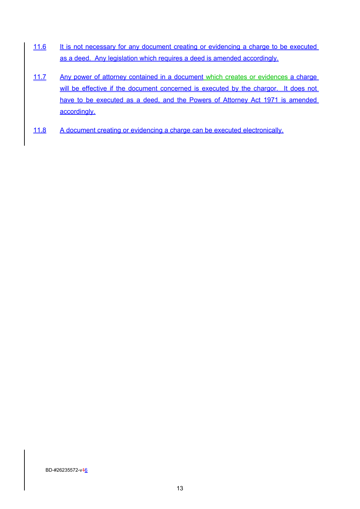- 11.6 It is not necessary for any document creating or evidencing a charge to be executed as a deed. Any legislation which requires a deed is amended accordingly.
- 11.7 Any power of attorney contained in a document which creates or evidences a charge will be effective if the document concerned is executed by the chargor. It does not have to be executed as a deed, and the Powers of Attorney Act 1971 is amended accordingly.
- 11.8 A document creating or evidencing a charge can be executed electronically.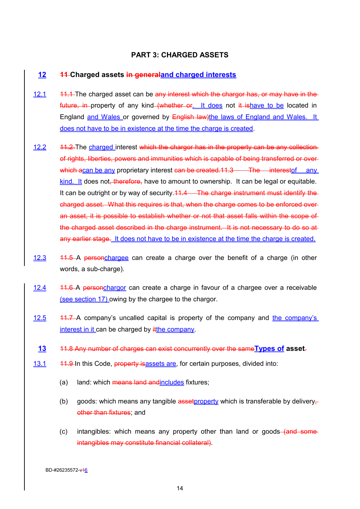## **PART 3: CHARGED ASSETS**

#### **12 11 Charged assets in generaland charged interests**

- 12.1 41.1 The charged asset can be any interest which the chargor has, or may have in the future, in property of any kind (whether or. It does not it ishave to be located in England and Wales or governed by English law)the laws of England and Wales. It does not have to be in existence at the time the charge is created.
- 12.2 11.2 The charged interest which the chargor has in the property can be any collectionof rights, liberties, powers and immunities which is capable of being transferred or over which acan be any proprietary interest can be created.  $11.3$  The interestof any kind. It does not, therefore, have to amount to ownership. It can be legal or equitable. It can be outright or by way of security. **11.4** The charge instrument must identify the charged asset. What this requires is that, when the charge comes to be enforced over an asset, it is possible to establish whether or not that asset falls within the scope of the charged asset described in the charge instrument. It is not necessary to do so at any earlier stage. It does not have to be in existence at the time the charge is created.
- 12.3 11.5 A personchargee can create a charge over the benefit of a charge (in other words, a sub-charge).
- 12.4 11.6 A personchargor can create a charge in favour of a chargee over a receivable (see section 17) owing by the chargee to the chargor.
- $12.5$  11.7 A company's uncalled capital is property of the company and the company's interest in it can be charged by it the company.
- **13** 11.8 Any number of charges can exist concurrently over the same**Types of asset**.
- 13.1 41.9 In this Code, property is assets are, for certain purposes, divided into:
	- (a) land: which means land andincludes fixtures;
	- (b) goods: which means any tangible  $\frac{1}{2}$  asset property which is transferable by delivery, other than fixtures; and
	- (c) intangibles: which means any property other than land or goods (and some intangibles may constitute financial collateral).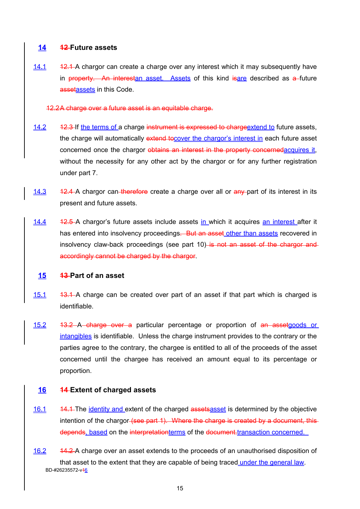## **14 12 Future assets**

14.1 12.1 A chargor can create a charge over any interest which it may subsequently have in property. An interestan asset. Assets of this kind isare described as a future assetassets in this Code.

12.2A charge over a future asset is an equitable charge.

- 14.2 12.3 If the terms of a charge instrument is expressed to charge extend to future assets, the charge will automatically extend to cover the chargor's interest in each future asset concerned once the chargor obtains an interest in the property concernedacquires it, without the necessity for any other act by the chargor or for any further registration under part 7.
- 14.3 12.4 A chargor can therefore create a charge over all or any part of its interest in its present and future assets.
- 14.4 12.5 A chargor's future assets include assets in which it acquires an interest after it has entered into insolvency proceedings. But an asset other than assets recovered in insolvency claw-back proceedings (see part  $10$ ) is not an asset of the chargor and accordingly cannot be charged by the chargor.

## **15 13 Part of an asset**

- 15.1 13.1 A charge can be created over part of an asset if that part which is charged is identifiable.
- 15.2 13.2 A charge over a particular percentage or proportion of an assetgoods or intangibles is identifiable. Unless the charge instrument provides to the contrary or the parties agree to the contrary, the chargee is entitled to all of the proceeds of the asset concerned until the chargee has received an amount equal to its percentage or proportion.

## **16 14 Extent of charged assets**

- 16.1 44.1 The identity and extent of the charged assets asset is determined by the objective intention of the chargor (see part 1). Where the charge is created by a document, this depends, based on the interpretationterms of the document.transaction concerned.
- BD-#26235572-v46 16.2 14.2 A charge over an asset extends to the proceeds of an unauthorised disposition of that asset to the extent that they are capable of being traced under the general law.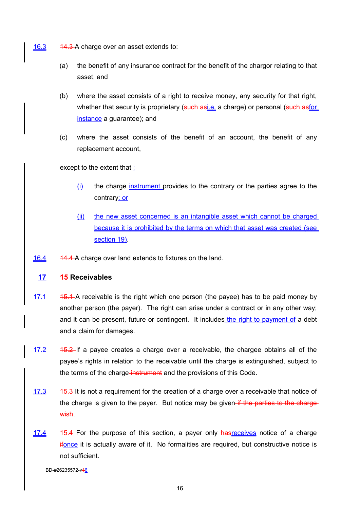- 16.3 14.3 A charge over an asset extends to:
	- (a) the benefit of any insurance contract for the benefit of the chargor relating to that asset; and
	- (b) where the asset consists of a right to receive money, any security for that right, whether that security is proprietary (such asi.e. a charge) or personal (such asfor instance a guarantee); and
	- (c) where the asset consists of the benefit of an account, the benefit of any replacement account,

except to the extent that  $\pm$ 

- $(i)$  the charge instrument provides to the contrary or the parties agree to the contrary; or
- (ii) the new asset concerned is an intangible asset which cannot be charged because it is prohibited by the terms on which that asset was created (see section 19).
- 16.4 14.4 A charge over land extends to fixtures on the land.

#### **17 15 Receivables**

- 17.1  $\div$  15.1 A receivable is the right which one person (the payee) has to be paid money by another person (the payer). The right can arise under a contract or in any other way; and it can be present, future or contingent. It includes the right to payment of a debt and a claim for damages.
- 17.2 15.2 If a payee creates a charge over a receivable, the chargee obtains all of the payee's rights in relation to the receivable until the charge is extinguished, subject to the terms of the charge instrument and the provisions of this Code.
- 17.3 45.3 It is not a requirement for the creation of a charge over a receivable that notice of the charge is given to the payer. But notice may be given if the parties to the charge wish.
- 17.4 15.4 For the purpose of this section, a payer only haspeceives notice of a charge **ifonce** it is actually aware of it. No formalities are required, but constructive notice is not sufficient.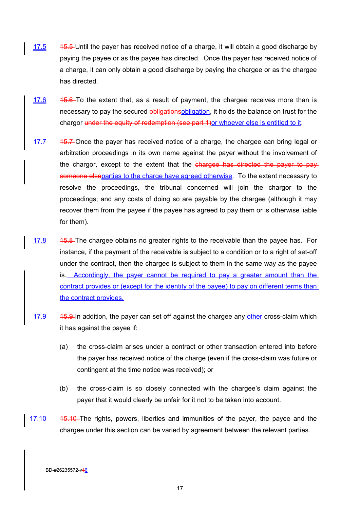- 17.5 45.5 Until the payer has received notice of a charge, it will obtain a good discharge by paying the payee or as the payee has directed. Once the payer has received notice of a charge, it can only obtain a good discharge by paying the chargee or as the chargee has directed.
- 17.6  $\div$  15.6 To the extent that, as a result of payment, the chargee receives more than is necessary to pay the secured obligationsobligation, it holds the balance on trust for the chargor under the equity of redemption (see part 1)or whoever else is entitled to it.
- 17.7 45.7 Once the payer has received notice of a charge, the chargee can bring legal or arbitration proceedings in its own name against the payer without the involvement of the chargor, except to the extent that the chargee has directed the payer to paysomeone elseparties to the charge have agreed otherwise. To the extent necessary to resolve the proceedings, the tribunal concerned will join the chargor to the proceedings; and any costs of doing so are payable by the chargee (although it may recover them from the payee if the payee has agreed to pay them or is otherwise liable for them).
- 17.8 45.8 The chargee obtains no greater rights to the receivable than the payee has. For instance, if the payment of the receivable is subject to a condition or to a right of set-off under the contract, then the chargee is subject to them in the same way as the payee is. Accordingly, the payer cannot be required to pay a greater amount than the contract provides or (except for the identity of the payee) to pay on different terms than the contract provides.
- 17.9 45.9 In addition, the payer can set off against the chargee any other cross-claim which it has against the payee if:
	- (a) the cross-claim arises under a contract or other transaction entered into before the payer has received notice of the charge (even if the cross-claim was future or contingent at the time notice was received); or
	- (b) the cross-claim is so closely connected with the chargee's claim against the payer that it would clearly be unfair for it not to be taken into account.
- 17.10 15.10 15.10 The rights, powers, liberties and immunities of the payer, the payee and the chargee under this section can be varied by agreement between the relevant parties.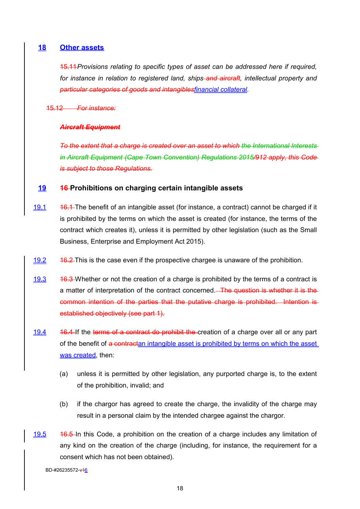### **18 Other assets**

15.11*Provisions relating to specific types of asset can be addressed here if required, for instance in relation to registered land, ships and aircraft, intellectual property and particular categories of goods and intangiblesfinancial collateral.*

#### 15.12 *For instance:*

#### *Aircraft Equipment*

*To the extent that a charge is created over an asset to which the International Interests in Aircraft Equipment (Cape Town Convention) Regulations 2015/912 apply, this Code is subject to those Regulations.*

#### **19 16 Prohibitions on charging certain intangible assets**

- 19.1 46.1 The benefit of an intangible asset (for instance, a contract) cannot be charged if it is prohibited by the terms on which the asset is created (for instance, the terms of the contract which creates it), unless it is permitted by other legislation (such as the Small Business, Enterprise and Employment Act 2015).
- 19.2 46.2 This is the case even if the prospective chargee is unaware of the prohibition.
- 19.3 16.3 Whether or not the creation of a charge is prohibited by the terms of a contract is a matter of interpretation of the contract concerned. The question is whether it is the common intention of the parties that the putative charge is prohibited. Intention is established objectively (see part 1).
- 19.4 16.4 If the terms of a contract do prohibit the creation of a charge over all or any part of the benefit of a contractan intangible asset is prohibited by terms on which the asset was created, then:
	- (a) unless it is permitted by other legislation, any purported charge is, to the extent of the prohibition, invalid; and
	- (b) if the chargor has agreed to create the charge, the invalidity of the charge may result in a personal claim by the intended chargee against the chargor.
- 19.5 46.5 In this Code, a prohibition on the creation of a charge includes any limitation of any kind on the creation of the charge (including, for instance, the requirement for a consent which has not been obtained).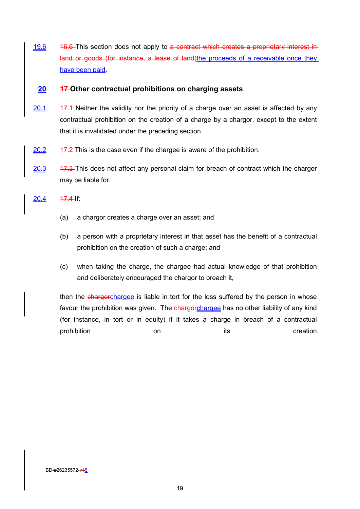19.6 16.6 This section does not apply to a contract which creates a proprietary interest inland or goods (for instance, a lease of land)the proceeds of a receivable once they have been paid.

### **20 17 Other contractual prohibitions on charging assets**

- 20.1  $\div$  17.1 Neither the validity nor the priority of a charge over an asset is affected by any contractual prohibition on the creation of a charge by a chargor, except to the extent that it is invalidated under the preceding section.
- $20.2$  17.2 This is the case even if the chargee is aware of the prohibition.
- 20.3 47.3 This does not affect any personal claim for breach of contract which the chargor may be liable for.

20.4 17.4 If:

- (a) a chargor creates a charge over an asset; and
- (b) a person with a proprietary interest in that asset has the benefit of a contractual prohibition on the creation of such a charge; and
- (c) when taking the charge, the chargee had actual knowledge of that prohibition and deliberately encouraged the chargor to breach it,

then the chargorchargee is liable in tort for the loss suffered by the person in whose favour the prohibition was given. The chargorchargee has no other liability of any kind (for instance, in tort or in equity) if it takes a charge in breach of a contractual prohibition **on** on its creation.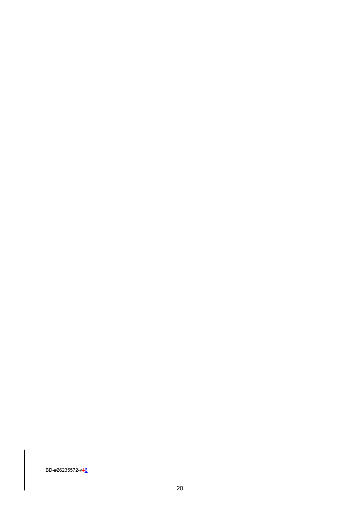BD-#26235572-v4<mark>6</mark>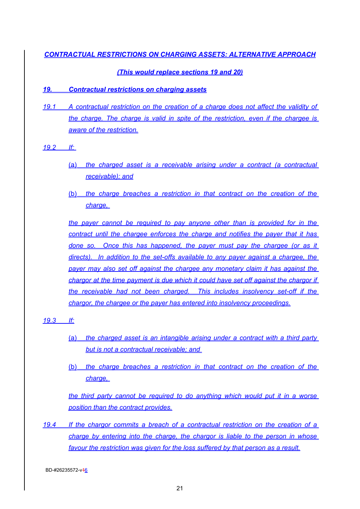## *CONTRACTUAL RESTRICTIONS ON CHARGING ASSETS: ALTERNATIVE APPROACH*

*(This would replace sections 19 and 20)*

### *19. Contractual restrictions on charging assets*

*19.1 A contractual restriction on the creation of a charge does not affect the validity of the charge. The charge is valid in spite of the restriction, even if the chargee is aware of the restriction.*

*19.2 If:* 

- (a) *the charged asset is a receivable arising under a contract (a contractual receivable); and*
- (b) *the charge breaches a restriction in that contract on the creation of the charge,*

*the payer cannot be required to pay anyone other than is provided for in the contract until the chargee enforces the charge and notifies the payer that it has done so. Once this has happened, the payer must pay the chargee (or as it directs). In addition to the set-offs available to any payer against a chargee, the payer may also set off against the chargee any monetary claim it has against the chargor at the time payment is due which it could have set off against the chargor if the receivable had not been charged. This includes insolvency set-off if the chargor, the chargee or the payer has entered into insolvency proceedings.*

*19.3 If:*

- (a) *the charged asset is an intangible arising under a contract with a third party but is not a contractual receivable; and*
- (b) *the charge breaches a restriction in that contract on the creation of the charge,*

*the third party cannot be required to do anything which would put it in a worse position than the contract provides.*

*19.4 If the chargor commits a breach of a contractual restriction on the creation of a charge by entering into the charge, the chargor is liable to the person in whose favour the restriction was given for the loss suffered by that person as a result.*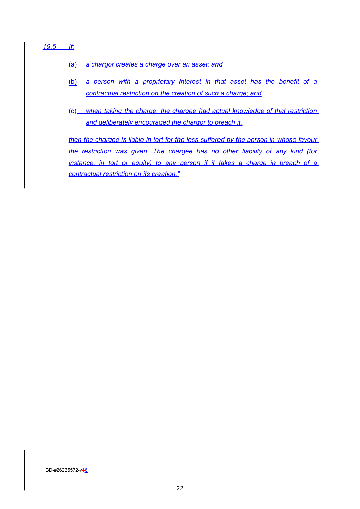*19.5 If:*

- (a) *a chargor creates a charge over an asset; and*
- (b) *a person with a proprietary interest in that asset has the benefit of a contractual restriction on the creation of such a charge; and*
- (c) *when taking the charge, the chargee had actual knowledge of that restriction and deliberately encouraged the chargor to breach it,*

*then the chargee is liable in tort for the loss suffered by the person in whose favour the restriction was given. The chargee has no other liability of any kind (for instance, in tort or equity) to any person if it takes a charge in breach of a contractual restriction on its creation."*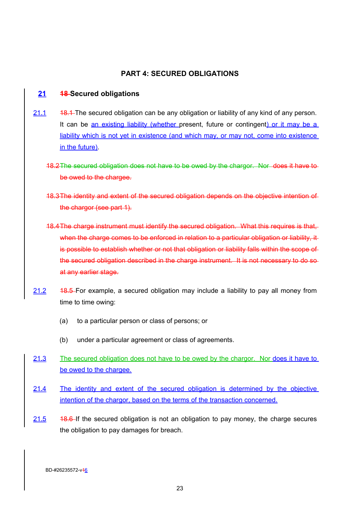## **PART 4: SECURED OBLIGATIONS**

#### **21 18 Secured obligations**

- 21.1 48.1 The secured obligation can be any obligation or liability of any kind of any person. It can be an existing liability (whether present, future or contingent) or it may be a liability which is not yet in existence (and which may, or may not, come into existence in the future).
	- 18.2The secured obligation does not have to be owed by the chargor. Nor does it have to be owed to the chargee.
	- 18.3The identity and extent of the secured obligation depends on the objective intention of the chargor (see part 1).
	- 18.4The charge instrument must identify the secured obligation. What this requires is that, when the charge comes to be enforced in relation to a particular obligation or liability, it is possible to establish whether or not that obligation or liability falls within the scope of the secured obligation described in the charge instrument. It is not necessary to do so at any earlier stage.
- 21.2 48.5 For example, a secured obligation may include a liability to pay all money from time to time owing:
	- (a) to a particular person or class of persons; or
	- (b) under a particular agreement or class of agreements.
- 21.3 The secured obligation does not have to be owed by the chargor. Nor does it have to be owed to the chargee.
- 21.4 The identity and extent of the secured obligation is determined by the objective intention of the chargor, based on the terms of the transaction concerned.
- 21.5 48.6 If the secured obligation is not an obligation to pay money, the charge secures the obligation to pay damages for breach.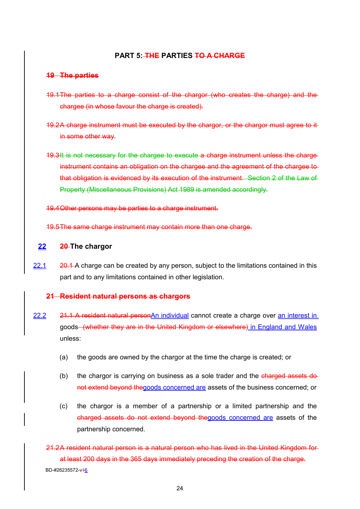#### **PART 5: THE PARTIES TO A CHARGE**

#### **19 The parties**

- 19.1The parties to a charge consist of the chargor (who creates the charge) and the chargee (in whose favour the charge is created).
- 19.2A charge instrument must be executed by the chargor, or the chargor must agree to it in some other way.
- 19.3It is not necessary for the chargee to execute a charge instrument unless the charge instrument contains an obligation on the chargee and the agreement of the chargee to that obligation is evidenced by its execution of the instrument. Section 2 of the Law of Property (Miscellaneous Provisions) Act 1989 is amended accordingly.
- 19.4Other persons may be parties to a charge instrument.

19.5The same charge instrument may contain more than one charge.

#### **22 20 The chargor**

 $22.1$  20.1 A charge can be created by any person, subject to the limitations contained in this part and to any limitations contained in other legislation.

#### **21 Resident natural persons as chargors**

- 22.2 21.1 A resident natural personAn individual cannot create a charge over an interest in goods (whether they are in the United Kingdom or elsewhere) in England and Wales unless:
	- (a) the goods are owned by the chargor at the time the charge is created; or
	- (b) the chargor is carrying on business as a sole trader and the charged assets donot extend beyond thegoods concerned are assets of the business concerned; or
	- (c) the chargor is a member of a partnership or a limited partnership and the charged assets do not extend beyond thegoods concerned are assets of the partnership concerned.
	- BD-#26235572-v46 21.2A resident natural person is a natural person who has lived in the United Kingdom for at least 200 days in the 365 days immediately preceding the creation of the charge.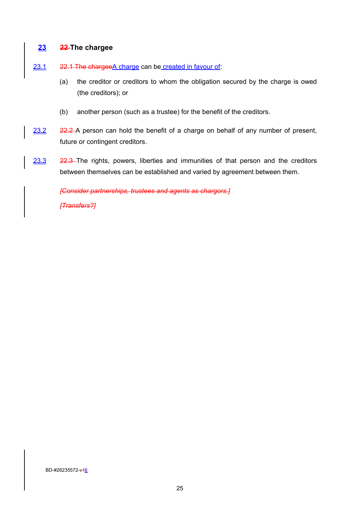## **23 22 The chargee**

#### 23.1 22.1 The chargee A charge can be created in favour of:

- (a) the creditor or creditors to whom the obligation secured by the charge is owed (the creditors); or
- (b) another person (such as a trustee) for the benefit of the creditors.
- 23.2 22.2 A person can hold the benefit of a charge on behalf of any number of present, future or contingent creditors.
- 23.3 22.3 The rights, powers, liberties and immunities of that person and the creditors between themselves can be established and varied by agreement between them.

*[Consider partnerships, trustees and agents as chargors.]*

*[Transfers?]*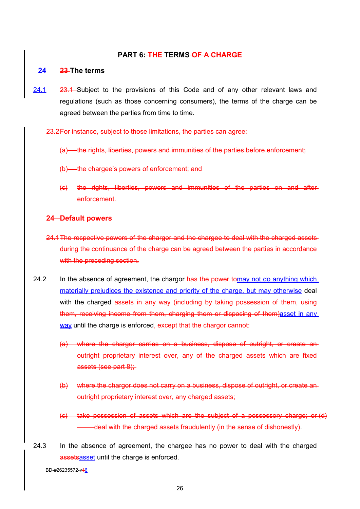#### **PART 6: THE TERMS OF A CHARGE**

#### **24 23 The terms**

24.1 23.1 Subject to the provisions of this Code and of any other relevant laws and regulations (such as those concerning consumers), the terms of the charge can be agreed between the parties from time to time.

23.2For instance, subject to those limitations, the parties can agree:

- (a) the rights, liberties, powers and immunities of the parties before enforcement;
- (b) the chargee's powers of enforcement; and
- (c) the rights, liberties, powers and immunities of the parties on and after enforcement.

#### **24 Default powers**

- 24.1The respective powers of the chargor and the chargee to deal with the charged assets during the continuance of the charge can be agreed between the parties in accordance with the preceding section.
- 24.2 In the absence of agreement, the chargor has the power tomay not do anything which materially prejudices the existence and priority of the charge, but may otherwise deal with the charged assets in any way (including by taking possession of them, using them, receiving income from them, charging them or disposing of them)asset in any way until the charge is enforced<del>, except that the chargor cannot:</del>
	- (a) where the chargor carries on a business, dispose of outright, or create an outright proprietary interest over, any of the charged assets which are fixed assets (see part 8);
	- (b) where the chargor does not carry on a business, dispose of outright, or create an outright proprietary interest over, any charged assets;
	- (c) take possession of assets which are the subject of a possessory charge; or (d) deal with the charged assets fraudulently (in the sense of dishonestly).
- 24.3 In the absence of agreement, the chargee has no power to deal with the charged assets asset until the charge is enforced.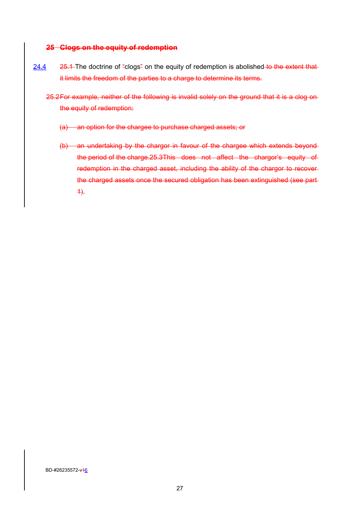## **25 Clogs on the equity of redemption**

- 24.4 25.1 The doctrine of "clogs" on the equity of redemption is abolished to the extent that it limits the freedom of the parties to a charge to determine its terms.
	- 25.2For example, neither of the following is invalid solely on the ground that it is a clog on the equity of redemption:
		- (a) an option for the chargee to purchase charged assets; or
		- (b) an undertaking by the chargor in favour of the chargee which extends beyond the period of the charge.25.3This does not affect the chargor's equity of redemption in the charged asset, including the ability of the chargor to recover the charged assets once the secured obligation has been extinguished (see part  $\rightarrow$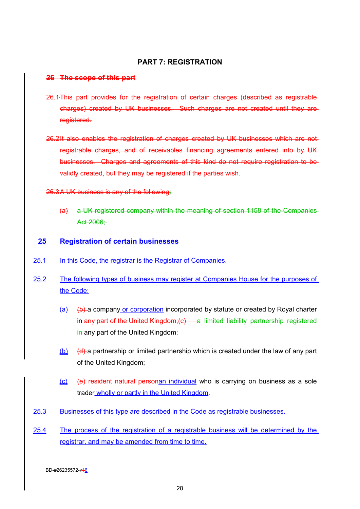## **PART 7: REGISTRATION**

#### **26 The scope of this part**

- 26.1This part provides for the registration of certain charges (described as registrable charges) created by UK businesses. Such charges are not created until they are registered.
- 26.2It also enables the registration of charges created by UK businesses which are not registrable charges, and of receivables financing agreements entered into by UK businesses. Charges and agreements of this kind do not require registration to be validly created, but they may be registered if the parties wish.

26.3A UK business is any of the following:

(a) a UK-registered company within the meaning of section 1158 of the Companies Act 2006;

#### **25 Registration of certain businesses**

- 25.1 In this Code, the registrar is the Registrar of Companies.
- 25.2 The following types of business may register at Companies House for the purposes of the Code:
	- $(a)$   $(b)$  a company or corporation incorporated by statute or created by Royal charter in any part of the United Kingdom;(c) a limited liability partnership registered in any part of the United Kingdom;
	- $(b)$  (d) a partnership or limited partnership which is created under the law of any part of the United Kingdom;
	- (c) (e) resident natural personan individual who is carrying on business as a sole trader wholly or partly in the United Kingdom.
- 25.3 Businesses of this type are described in the Code as registrable businesses.
- 25.4 The process of the registration of a registrable business will be determined by the registrar, and may be amended from time to time.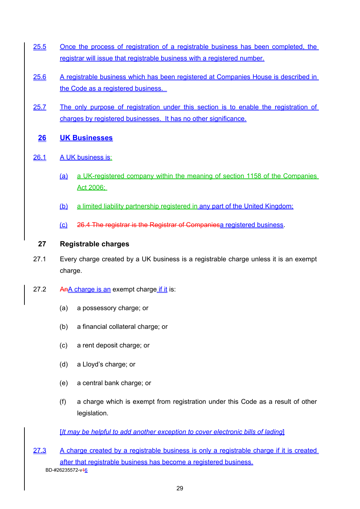- 25.5 Once the process of registration of a registrable business has been completed, the registrar will issue that registrable business with a registered number.
- 25.6 A registrable business which has been registered at Companies House is described in the Code as a registered business.
- 25.7 The only purpose of registration under this section is to enable the registration of charges by registered businesses. It has no other significance.

## **26 UK Businesses**

- 26.1 A UK business is:
	- (a) a UK-registered company within the meaning of section 1158 of the Companies Act 2006;
	- (b) a limited liability partnership registered in any part of the United Kingdom;
	- (c) 26.4 The registrar is the Registrar of Companiesa registered business.

## **27 Registrable charges**

- 27.1 Every charge created by a UK business is a registrable charge unless it is an exempt charge.
- 27.2 AnA charge is an exempt charge if it is:
	- (a) a possessory charge; or
	- (b) a financial collateral charge; or
	- (c) a rent deposit charge; or
	- (d) a Lloyd's charge; or
	- (e) a central bank charge; or
	- (f) a charge which is exempt from registration under this Code as a result of other legislation.

[*It may be helpful to add another exception to cover electronic bills of lading*]

BD-#26235572-v46 27.3 A charge created by a registrable business is only a registrable charge if it is created after that registrable business has become a registered business.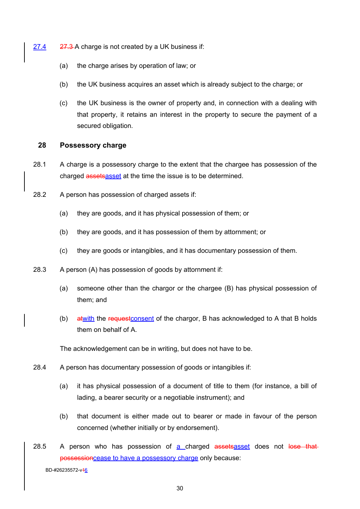- 27.4 27.3 A charge is not created by a UK business if:
	- (a) the charge arises by operation of law; or
	- (b) the UK business acquires an asset which is already subject to the charge; or
	- (c) the UK business is the owner of property and, in connection with a dealing with that property, it retains an interest in the property to secure the payment of a secured obligation.

#### **28 Possessory charge**

- 28.1 A charge is a possessory charge to the extent that the chargee has possession of the charged assetsasset at the time the issue is to be determined.
- 28.2 A person has possession of charged assets if:
	- (a) they are goods, and it has physical possession of them; or
	- (b) they are goods, and it has possession of them by attornment; or
	- (c) they are goods or intangibles, and it has documentary possession of them.
- 28.3 A person (A) has possession of goods by attornment if:
	- (a) someone other than the chargor or the chargee (B) has physical possession of them; and
	- (b)  $a$  a twith the request consent of the chargor, B has acknowledged to A that B holds them on behalf of A.

The acknowledgement can be in writing, but does not have to be.

- 28.4 A person has documentary possession of goods or intangibles if:
	- (a) it has physical possession of a document of title to them (for instance, a bill of lading, a bearer security or a negotiable instrument); and
	- (b) that document is either made out to bearer or made in favour of the person concerned (whether initially or by endorsement).
- 28.5 A person who has possession of a charged assetsasset does not lose that possessioncease to have a possessory charge only because: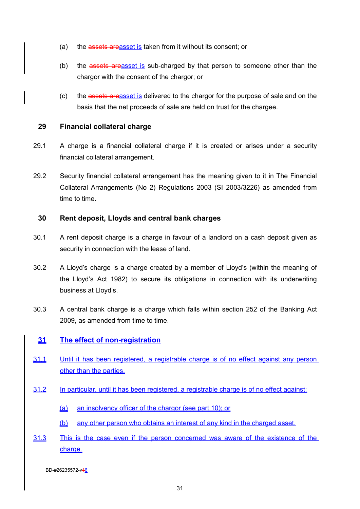- (a) the assets areasset is taken from it without its consent; or
- (b) the assets areasset is sub-charged by that person to someone other than the chargor with the consent of the chargor; or
- (c) the assets areasset is delivered to the chargor for the purpose of sale and on the basis that the net proceeds of sale are held on trust for the chargee.

## **29 Financial collateral charge**

- 29.1 A charge is a financial collateral charge if it is created or arises under a security financial collateral arrangement.
- 29.2 Security financial collateral arrangement has the meaning given to it in The Financial Collateral Arrangements (No 2) Regulations 2003 (SI 2003/3226) as amended from time to time.

## **30 Rent deposit, Lloyds and central bank charges**

- 30.1 A rent deposit charge is a charge in favour of a landlord on a cash deposit given as security in connection with the lease of land.
- 30.2 A Lloyd's charge is a charge created by a member of Lloyd's (within the meaning of the Lloyd's Act 1982) to secure its obligations in connection with its underwriting business at Lloyd's.
- 30.3 A central bank charge is a charge which falls within section 252 of the Banking Act 2009, as amended from time to time.

## **31 The effect of non-registration**

- 31.1 Until it has been registered, a registrable charge is of no effect against any person other than the parties.
- 31.2 In particular, until it has been registered, a registrable charge is of no effect against:
	- (a) an insolvency officer of the chargor (see part 10); or
	- (b) any other person who obtains an interest of any kind in the charged asset.
- 31.3 This is the case even if the person concerned was aware of the existence of the charge.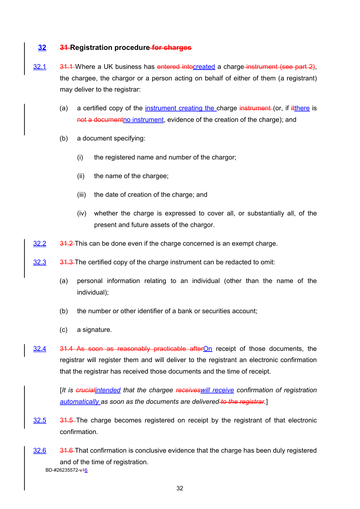## **32 31 Registration procedure for charges**

- 32.1 31.1 Where a UK business has entered intocreated a charge instrument (see part 2), the chargee, the chargor or a person acting on behalf of either of them (a registrant) may deliver to the registrar:
	- (a) a certified copy of the instrument creating the charge instrument (or, if it there is not a document instrument, evidence of the creation of the charge); and
	- (b) a document specifying:
		- (i) the registered name and number of the chargor;
		- (ii) the name of the chargee;
		- (iii) the date of creation of the charge; and
		- (iv) whether the charge is expressed to cover all, or substantially all, of the present and future assets of the chargor.
- 32.2 31.2 This can be done even if the charge concerned is an exempt charge.
- 32.3 31.3 The certified copy of the charge instrument can be redacted to omit:
	- (a) personal information relating to an individual (other than the name of the individual);
	- (b) the number or other identifier of a bank or securities account;
	- (c) a signature.
- 32.4 31.4 As soon as reasonably practicable afterOn receipt of those documents, the registrar will register them and will deliver to the registrant an electronic confirmation that the registrar has received those documents and the time of receipt.

[*It is crucialintended that the chargee receiveswill receive confirmation of registration automatically as soon as the documents are delivered to the registrar.*]

- 32.5 31.5 The charge becomes registered on receipt by the registrant of that electronic confirmation.
- BD-#26235572-v46 32.6 31.6 That confirmation is conclusive evidence that the charge has been duly registered and of the time of registration.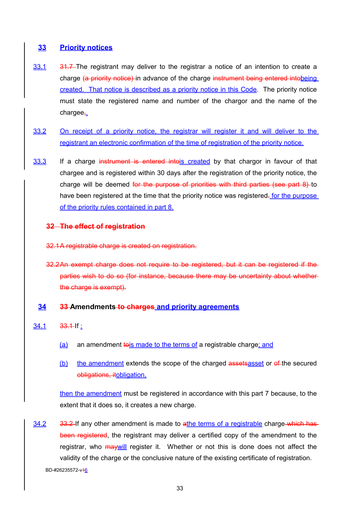## **33 Priority notices**

- 33.1 31.7 The registrant may deliver to the registrar a notice of an intention to create a charge (a priority notice) in advance of the charge instrument being entered intobeing created. That notice is described as a priority notice in this Code. The priority notice must state the registered name and number of the chargor and the name of the chargee<sub>-</sub>
- 33.2 On receipt of a priority notice, the registrar will register it and will deliver to the registrant an electronic confirmation of the time of registration of the priority notice.
- 33.3 If a charge instrument is entered intois created by that chargor in favour of that chargee and is registered within 30 days after the registration of the priority notice, the charge will be deemed for the purpose of priorities with third parties (see part 8) to have been registered at the time that the priority notice was registered-for the purpose of the priority rules contained in part 8.

## **32 The effect of registration**

32.1 A registrable charge is created on registration.

32.2An exempt charge does not require to be registered, but it can be registered if the parties wish to do so (for instance, because there may be uncertainty about whether the charge is exempt).

## **34 33 Amendments to charges and priority agreements**

## 34.1 33.1 If :

- (a) an amendment tois made to the terms of a registrable charge; and
- (b) the amendment extends the scope of the charged assets asset or of the secured obligations, itobligation,

then the amendment must be registered in accordance with this part 7 because, to the extent that it does so, it creates a new charge.

BD-#26235572-v46 34.2 33.2 If any other amendment is made to athe terms of a registrable charge which has been registered, the registrant may deliver a certified copy of the amendment to the registrar, who may will register it. Whether or not this is done does not affect the validity of the charge or the conclusive nature of the existing certificate of registration.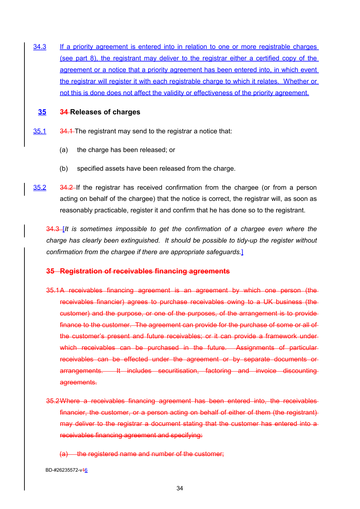34.3 If a priority agreement is entered into in relation to one or more registrable charges (see part 8), the registrant may deliver to the registrar either a certified copy of the agreement or a notice that a priority agreement has been entered into, in which event the registrar will register it with each registrable charge to which it relates. Whether or not this is done does not affect the validity or effectiveness of the priority agreement.

#### **35 34 Releases of charges**

- 35.1 34.1 The registrant may send to the registrar a notice that:
	- (a) the charge has been released; or
	- (b) specified assets have been released from the charge.
- 35.2 34.2 If the registrar has received confirmation from the chargee (or from a person acting on behalf of the chargee) that the notice is correct, the registrar will, as soon as reasonably practicable, register it and confirm that he has done so to the registrant.

34.3 [*It is sometimes impossible to get the confirmation of a chargee even where the charge has clearly been extinguished. It should be possible to tidy-up the register without confirmation from the chargee if there are appropriate safeguards.*]

## **35 Registration of receivables financing agreements**

- 35.1A receivables financing agreement is an agreement by which one person (the receivables financier) agrees to purchase receivables owing to a UK business (the customer) and the purpose, or one of the purposes, of the arrangement is to provide finance to the customer. The agreement can provide for the purchase of some or all of the customer's present and future receivables; or it can provide a framework under which receivables can be purchased in the future. Assignments of particular receivables can be effected under the agreement or by separate documents or arrangements. It includes securitisation, factoring and invoice discounting agreements.
- 35.2Where a receivables financing agreement has been entered into, the receivables financier, the customer, or a person acting on behalf of either of them (the registrant) may deliver to the registrar a document stating that the customer has entered into a receivables financing agreement and specifying:
	- (a) the registered name and number of the customer;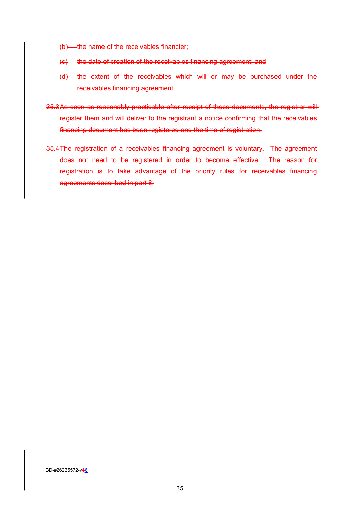- (b) the name of the receivables financier;
- (c) the date of creation of the receivables financing agreement; and
- (d) the extent of the receivables which will or may be purchased under the receivables financing agreement.
- 35.3As soon as reasonably practicable after receipt of those documents, the registrar will register them and will deliver to the registrant a notice confirming that the receivables financing document has been registered and the time of registration.
- 35.4The registration of a receivables financing agreement is voluntary. The agreement does not need to be registered in order to become effective. The reason for registration is to take advantage of the priority rules for receivables financing agreements described in part 8.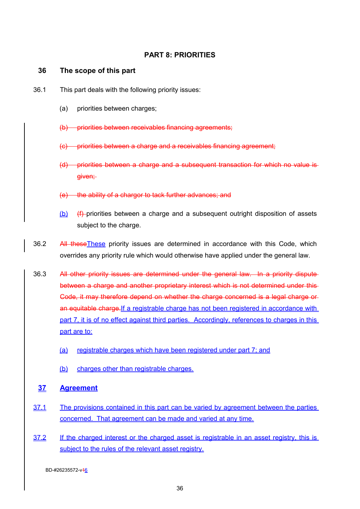## **PART 8: PRIORITIES**

#### **36 The scope of this part**

- 36.1 This part deals with the following priority issues:
	- (a) priorities between charges;
	- (b) priorities between receivables financing agreements;
	- (c) priorities between a charge and a receivables financing agreement;
	- (d) priorities between a charge and a subsequent transaction for which no value is given;
	- (e) the ability of a chargor to tack further advances; and
	- (b)  $(f)$ -priorities between a charge and a subsequent outright disposition of assets subject to the charge.
- 36.2 All these These priority issues are determined in accordance with this Code, which overrides any priority rule which would otherwise have applied under the general law.
- 36.3 All other priority issues are determined under the general law. In a priority dispute between a charge and another proprietary interest which is not determined under this Code, it may therefore depend on whether the charge concerned is a legal charge or an equitable charge. If a registrable charge has not been registered in accordance with part 7, it is of no effect against third parties. Accordingly, references to charges in this part are to:
	- (a) registrable charges which have been registered under part 7; and
	- (b) charges other than registrable charges.

## **37 Agreement**

- 37.1 The provisions contained in this part can be varied by agreement between the parties concerned. That agreement can be made and varied at any time.
- 37.2 If the charged interest or the charged asset is registrable in an asset registry, this is subject to the rules of the relevant asset registry.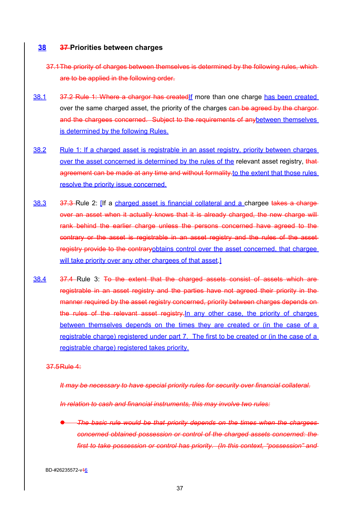#### **38 37 Priorities between charges**

- 37.1 The priority of charges between themselves is determined by the following rules, which are to be applied in the following order.
- 38.1 37.2 Rule 1: Where a chargor has created if more than one charge has been created over the same charged asset, the priority of the charges can be agreed by the chargorand the chargees concerned. Subject to the requirements of any between themselves is determined by the following Rules.
- 38.2 Rule 1: If a charged asset is registrable in an asset registry, priority between charges over the asset concerned is determined by the rules of the relevant asset registry, that agreement can be made at any time and without formality-to the extent that those rules resolve the priority issue concerned.
- 38.3 37.3 Rule 2: [If a charged asset is financial collateral and a chargee takes a chargeover an asset when it actually knows that it is already charged, the new charge will rank behind the earlier charge unless the persons concerned have agreed to the contrary or the asset is registrable in an asset registry and the rules of the asset registry provide to the contraryobtains control over the asset concerned, that chargee will take priority over any other chargees of that asset.]
- 38.4 37.4 Rule 3: To the extent that the charged assets consist of assets which are registrable in an asset registry and the parties have not agreed their priority in the manner required by the asset registry concerned, priority between charges depends on the rules of the relevant asset registry. In any other case, the priority of charges between themselves depends on the times they are created or (in the case of a registrable charge) registered under part 7. The first to be created or (in the case of a registrable charge) registered takes priority.

#### 37.5Rule 4:

*It may be necessary to have special priority rules for security over financial collateral.*

*In relation to cash and financial instruments, this may involve two rules:*

 *The basic rule would be that priority depends on the times when the chargees concerned obtained possession or control of the charged assets concerned: the first to take possession or control has priority. (In this context, "possession" and*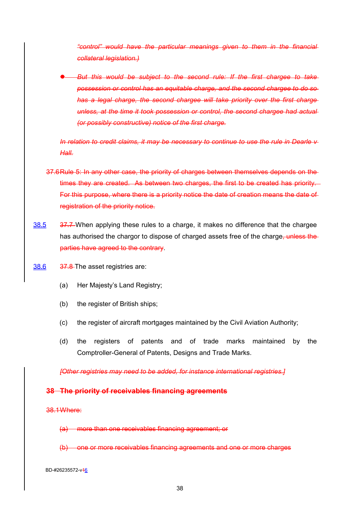*"control" would have the particular meanings given to them in the financial collateral legislation.)*

 *But this would be subject to the second rule: If the first chargee to take possession or control has an equitable charge, and the second chargee to do so has a legal charge, the second chargee will take priority over the first charge unless, at the time it took possession or control, the second chargee had actual (or possibly constructive) notice of the first charge.*

*In relation to credit claims, it may be necessary to continue to use the rule in Dearle v Hall.*

- 37.6Rule 5: In any other case, the priority of charges between themselves depends on the times they are created. As between two charges, the first to be created has priority. For this purpose, where there is a priority notice the date of creation means the date of registration of the priority notice.
- 38.5 37.7 When applying these rules to a charge, it makes no difference that the chargee has authorised the chargor to dispose of charged assets free of the charge, unless the parties have agreed to the contrary.
- 38.6 37.8 The asset registries are:
	- (a) Her Majesty's Land Registry;
	- (b) the register of British ships;
	- (c) the register of aircraft mortgages maintained by the Civil Aviation Authority;
	- (d) the registers of patents and of trade marks maintained by the Comptroller-General of Patents, Designs and Trade Marks.

*[Other registries may need to be added, for instance international registries.]*

#### **38 The priority of receivables financing agreements**

38.1Where:

(a) more than one receivables financing agreement; or

(b) one or more receivables financing agreements and one or more charges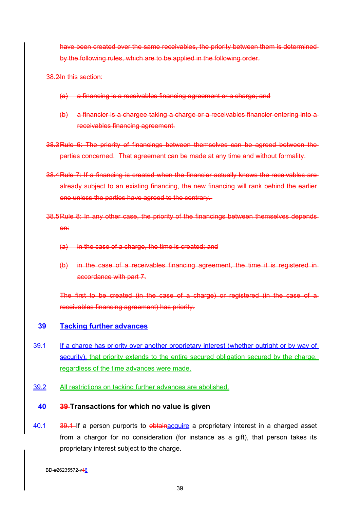have been created over the same receivables, the priority between them is determinedby the following rules, which are to be applied in the following order.

38.2In this section:

- (a) a financing is a receivables financing agreement or a charge; and
- (b) a financier is a chargee taking a charge or a receivables financier entering into a receivables financing agreement.
- 38.3Rule 6: The priority of financings between themselves can be agreed between the parties concerned. That agreement can be made at any time and without formality.
- 38.4Rule 7: If a financing is created when the financier actually knows the receivables are already subject to an existing financing, the new financing will rank behind the earlierone unless the parties have agreed to the contrary.
- 38.5Rule 8: In any other case, the priority of the financings between themselves depends on:
	- $(a)$  in the case of a charge, the time is created; and
	- (b) in the case of a receivables financing agreement, the time it is registered in accordance with part 7.

The first to be created (in the case of a charge) or registered (in the case of a receivables financing agreement) has priority.

## **39 Tacking further advances**

- 39.1 If a charge has priority over another proprietary interest (whether outright or by way of security), that priority extends to the entire secured obligation secured by the charge. regardless of the time advances were made.
- 39.2 All restrictions on tacking further advances are abolished.
- **40 39 Transactions for which no value is given**
- 40.1 39.1 If a person purports to obtainacquire a proprietary interest in a charged asset from a chargor for no consideration (for instance as a gift), that person takes its proprietary interest subject to the charge.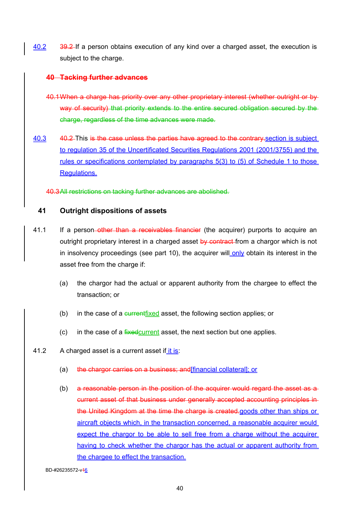40.2 39.2 If a person obtains execution of any kind over a charged asset, the execution is subject to the charge.

## **40 Tacking further advances**

- 40.1When a charge has priority over any other proprietary interest (whether outright or by way of security) that priority extends to the entire secured obligation secured by the charge, regardless of the time advances were made.
- 40.3 40.2 This is the case unless the parties have agreed to the contrary section is subject to regulation 35 of the Uncertificated Securities Regulations 2001 (2001/3755) and the rules or specifications contemplated by paragraphs 5(3) to (5) of Schedule 1 to those Regulations.

40.3All restrictions on tacking further advances are abolished.

## **41 Outright dispositions of assets**

- 41.1 If a person other than a receivables financier (the acquirer) purports to acquire an outright proprietary interest in a charged asset by contract from a chargor which is not in insolvency proceedings (see part 10), the acquirer will only obtain its interest in the asset free from the charge if:
	- (a) the chargor had the actual or apparent authority from the chargee to effect the transaction; or
	- (b) in the case of a  $\frac{currentfixed}{}$  asset, the following section applies; or
	- (c) in the case of a  $fixedcurrent$  asset, the next section but one applies.
- 41.2 A charged asset is a current asset if *it is*:
	- (a) the chargor carries on a business; and financial collaterall; or
	- (b) a reasonable person in the position of the acquirer would regard the asset as a current asset of that business under generally accepted accounting principles in the United Kingdom at the time the charge is created.goods other than ships or aircraft objects which, in the transaction concerned, a reasonable acquirer would expect the chargor to be able to sell free from a charge without the acquirer having to check whether the chargor has the actual or apparent authority from the chargee to effect the transaction.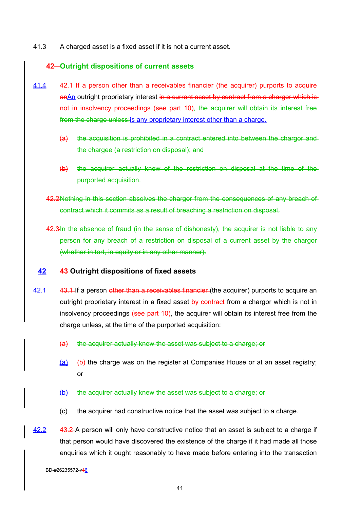41.3 A charged asset is a fixed asset if it is not a current asset.

#### **42 Outright dispositions of current assets**

- 41.4 42.1 If a person other than a receivables financier (the acquirer) purports to acquire anAn outright proprietary interest in a current asset by contract from a chargor which is not in insolvency proceedings (see part 10), the acquirer will obtain its interest free from the charge unless: is any proprietary interest other than a charge.
	- (a) the acquisition is prohibited in a contract entered into between the chargor and the chargee (a restriction on disposal); and
	- (b) the acquirer actually knew of the restriction on disposal at the time of the purported acquisition.
	- 42.2 Nothing in this section absolves the chargor from the consequences of any breach of contract which it commits as a result of breaching a restriction on disposal.
	- 42.3In the absence of fraud (in the sense of dishonesty), the acquirer is not liable to any person for any breach of a restriction on disposal of a current asset by the chargor (whether in tort, in equity or in any other manner).

#### **42 43 Outright dispositions of fixed assets**

- 42.1 43.1 If a person other than a receivables financier (the acquirer) purports to acquire an outright proprietary interest in a fixed asset by contract from a chargor which is not in insolvency proceedings (see part 10), the acquirer will obtain its interest free from the charge unless, at the time of the purported acquisition:
	- (a) the acquirer actually knew the asset was subject to a charge; or
	- (a)  $(b)$  the charge was on the register at Companies House or at an asset registry; or
	- (b) the acquirer actually knew the asset was subject to a charge; or
	- (c) the acquirer had constructive notice that the asset was subject to a charge.
- 42.2 43.2 A person will only have constructive notice that an asset is subject to a charge if that person would have discovered the existence of the charge if it had made all those enquiries which it ought reasonably to have made before entering into the transaction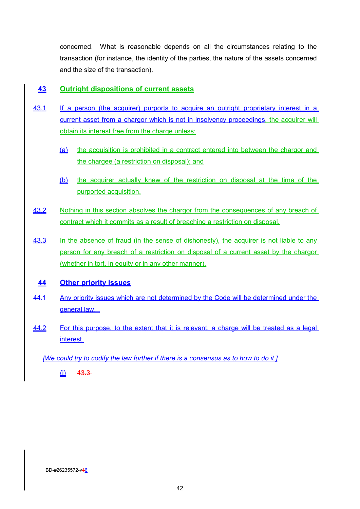concerned. What is reasonable depends on all the circumstances relating to the transaction (for instance, the identity of the parties, the nature of the assets concerned and the size of the transaction).

## **43 Outright dispositions of current assets**

- 43.1 If a person (the acquirer) purports to acquire an outright proprietary interest in a current asset from a chargor which is not in insolvency proceedings, the acquirer will obtain its interest free from the charge unless:
	- (a) the acquisition is prohibited in a contract entered into between the chargor and the chargee (a restriction on disposal); and
	- (b) the acquirer actually knew of the restriction on disposal at the time of the purported acquisition.
- 43.2 Nothing in this section absolves the chargor from the consequences of any breach of contract which it commits as a result of breaching a restriction on disposal.
- 43.3 In the absence of fraud (in the sense of dishonesty), the acquirer is not liable to any person for any breach of a restriction on disposal of a current asset by the chargor (whether in tort, in equity or in any other manner).

## **44 Other priority issues**

- 44.1 Any priority issues which are not determined by the Code will be determined under the general law.
- 44.2 For this purpose, to the extent that it is relevant, a charge will be treated as a legal interest.

*[We could try to codify the law further if there is a consensus as to how to do it.]*

 $(i)$  43.3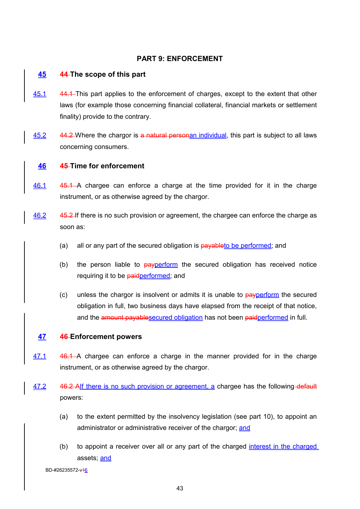#### **PART 9: ENFORCEMENT**

#### **45 44 The scope of this part**

- 45.1 44.1 This part applies to the enforcement of charges, except to the extent that other laws (for example those concerning financial collateral, financial markets or settlement finality) provide to the contrary.
- 45.2 44.2 Where the chargor is a natural personan individual, this part is subject to all laws concerning consumers.

#### **46 45 Time for enforcement**

- 46.1 45.1 A chargee can enforce a charge at the time provided for it in the charge instrument, or as otherwise agreed by the chargor.
- 46.2 45.2 If there is no such provision or agreement, the chargee can enforce the charge as soon as:
	- (a) all or any part of the secured obligation is  $\frac{1}{4}$  payable to be performed; and
	- (b) the person liable to payperform the secured obligation has received notice requiring it to be **paidperformed**; and
	- $(c)$  unless the chargor is insolvent or admits it is unable to  $\frac{b}{c}$  payperform the secured obligation in full, two business days have elapsed from the receipt of that notice, and the amount payablesecured obligation has not been paidperformed in full.

## **47 46 Enforcement powers**

- 47.1 46.1 A chargee can enforce a charge in the manner provided for in the charge instrument, or as otherwise agreed by the chargor.
- 47.2 46.2 Alf there is no such provision or agreement, a chargee has the following-default powers:
	- (a) to the extent permitted by the insolvency legislation (see part 10), to appoint an administrator or administrative receiver of the chargor; and
	- (b) to appoint a receiver over all or any part of the charged interest in the charged assets; and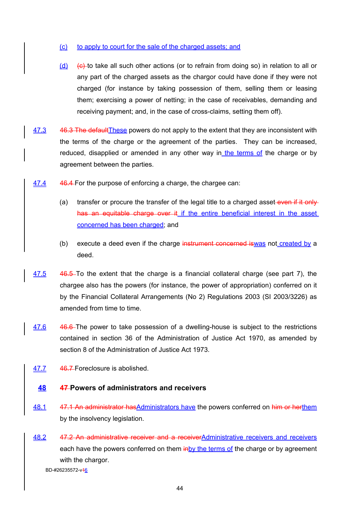#### (c) to apply to court for the sale of the charged assets; and

- (d)  $\left( \theta \right)$  (e) to take all such other actions (or to refrain from doing so) in relation to all or any part of the charged assets as the chargor could have done if they were not charged (for instance by taking possession of them, selling them or leasing them; exercising a power of netting; in the case of receivables, demanding and receiving payment; and, in the case of cross-claims, setting them off).
- 47.3 46.3 The default These powers do not apply to the extent that they are inconsistent with the terms of the charge or the agreement of the parties. They can be increased, reduced, disapplied or amended in any other way in the terms of the charge or by agreement between the parties.
- 47.4 46.4 For the purpose of enforcing a charge, the chargee can:
	- (a) transfer or procure the transfer of the legal title to a charged asset-even if it only has an equitable charge over it if the entire beneficial interest in the asset concerned has been charged; and
	- (b) execute a deed even if the charge instrument concerned is was not created by a deed.
- 47.5 46.5 To the extent that the charge is a financial collateral charge (see part 7), the chargee also has the powers (for instance, the power of appropriation) conferred on it by the Financial Collateral Arrangements (No 2) Regulations 2003 (SI 2003/3226) as amended from time to time.
- 47.6 46.6 The power to take possession of a dwelling-house is subject to the restrictions contained in section 36 of the Administration of Justice Act 1970, as amended by section 8 of the Administration of Justice Act 1973.
- 47.7 46.7 Foreclosure is abolished.

## **48 47 Powers of administrators and receivers**

- 48.1 47.1 An administrator has Administrators have the powers conferred on him or herthem by the insolvency legislation.
- 48.2 47.2 An administrative receiver and a receiverAdministrative receivers and receivers each have the powers conferred on them inby the terms of the charge or by agreement with the chargor.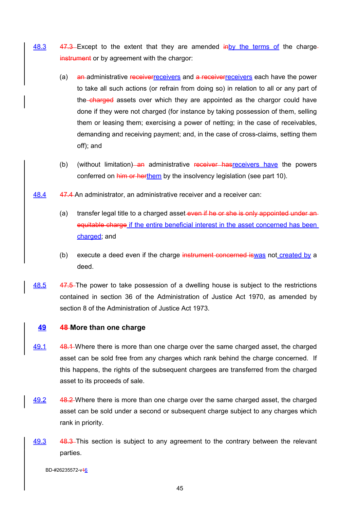- 48.3 47.3 Except to the extent that they are amended in by the terms of the chargeinstrument or by agreement with the chargor:
	- (a) an administrative receiverreceivers and a receiverreceivers each have the power to take all such actions (or refrain from doing so) in relation to all or any part of the charged assets over which they are appointed as the chargor could have done if they were not charged (for instance by taking possession of them, selling them or leasing them; exercising a power of netting; in the case of receivables, demanding and receiving payment; and, in the case of cross-claims, setting them off); and
	- (b) (without limitation)—**an** administrative receiver has receivers have the powers conferred on him or herthem by the insolvency legislation (see part 10).
- 48.4 47.4 An administrator, an administrative receiver and a receiver can:
	- (a) transfer legal title to a charged asset-even if he or she is only appointed under anequitable charge if the entire beneficial interest in the asset concerned has been charged; and
	- (b) execute a deed even if the charge instrument concerned iswas not created by a deed.
- 48.5 47.5 The power to take possession of a dwelling house is subject to the restrictions contained in section 36 of the Administration of Justice Act 1970, as amended by section 8 of the Administration of Justice Act 1973.

#### **49 48 More than one charge**

- 49.1 48.1 Where there is more than one charge over the same charged asset, the charged asset can be sold free from any charges which rank behind the charge concerned. If this happens, the rights of the subsequent chargees are transferred from the charged asset to its proceeds of sale.
- 49.2 48.2 Where there is more than one charge over the same charged asset, the charged asset can be sold under a second or subsequent charge subject to any charges which rank in priority.
- 49.3 48.3 This section is subject to any agreement to the contrary between the relevant parties.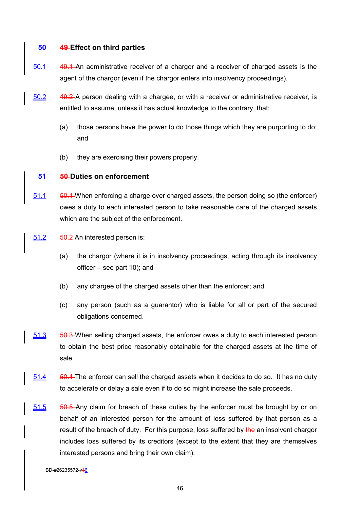#### **50 49 Effect on third parties**

- 50.1 49.1 An administrative receiver of a chargor and a receiver of charged assets is the agent of the chargor (even if the chargor enters into insolvency proceedings).
- 50.2 49.2 A person dealing with a chargee, or with a receiver or administrative receiver, is entitled to assume, unless it has actual knowledge to the contrary, that:
	- (a) those persons have the power to do those things which they are purporting to do; and
	- (b) they are exercising their powers properly.

## **51 50 Duties on enforcement**

- 51.1 50.1 When enforcing a charge over charged assets, the person doing so (the enforcer) owes a duty to each interested person to take reasonable care of the charged assets which are the subject of the enforcement.
- 51.2 50.2 An interested person is:
	- (a) the chargor (where it is in insolvency proceedings, acting through its insolvency officer – see part 10); and
	- (b) any chargee of the charged assets other than the enforcer; and
	- (c) any person (such as a guarantor) who is liable for all or part of the secured obligations concerned.
- 51.3 50.3 When selling charged assets, the enforcer owes a duty to each interested person to obtain the best price reasonably obtainable for the charged assets at the time of sale.
- 51.4 50.4 The enforcer can sell the charged assets when it decides to do so. It has no duty to accelerate or delay a sale even if to do so might increase the sale proceeds.
- 51.5 50.5 Any claim for breach of these duties by the enforcer must be brought by or on behalf of an interested person for the amount of loss suffered by that person as a result of the breach of duty. For this purpose, loss suffered by the an insolvent chargor includes loss suffered by its creditors (except to the extent that they are themselves interested persons and bring their own claim).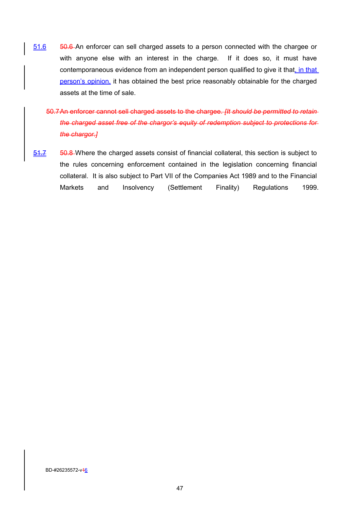51.6 50.6 An enforcer can sell charged assets to a person connected with the chargee or with anyone else with an interest in the charge. If it does so, it must have contemporaneous evidence from an independent person qualified to give it that, in that person's opinion, it has obtained the best price reasonably obtainable for the charged assets at the time of sale.

50.7An enforcer cannot sell charged assets to the chargee. *[It should be permitted to retain the charged asset free of the chargor's equity of redemption subject to protections for the chargor.]*

51.7 50.8 Where the charged assets consist of financial collateral, this section is subject to the rules concerning enforcement contained in the legislation concerning financial collateral. It is also subject to Part VII of the Companies Act 1989 and to the Financial Markets and Insolvency (Settlement Finality) Regulations 1999.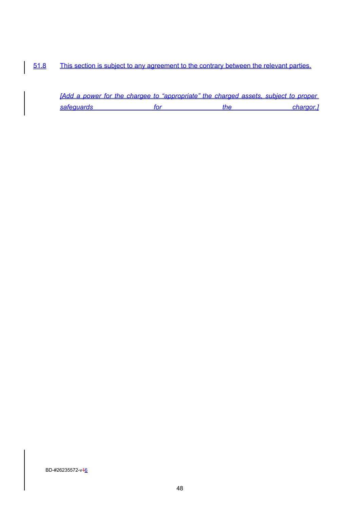### 51.8 This section is subject to any agreement to the contrary between the relevant parties.

*[Add a power for the chargee to "appropriate" the charged assets, subject to proper* **safeguards** *for for the chargor.]*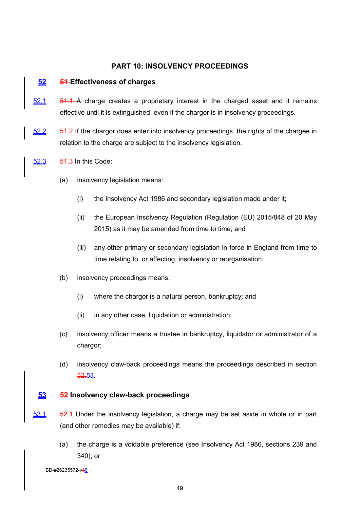## **PART 10: INSOLVENCY PROCEEDINGS**

#### **52 51 Effectiveness of charges**

- 52.1 51.1 A charge creates a proprietary interest in the charged asset and it remains effective until it is extinguished, even if the chargor is in insolvency proceedings.
- 52.2 51.2 If the chargor does enter into insolvency proceedings, the rights of the chargee in relation to the charge are subject to the insolvency legislation.
- 52.3 51.3 In this Code:
	- (a) insolvency legislation means:
		- (i) the Insolvency Act 1986 and secondary legislation made under it;
		- (ii) the European Insolvency Regulation (Regulation (EU) 2015/848 of 20 May 2015) as it may be amended from time to time; and
		- (iii) any other primary or secondary legislation in force in England from time to time relating to, or affecting, insolvency or reorganisation.
	- (b) insolvency proceedings means:
		- (i) where the chargor is a natural person, bankruptcy; and
		- (ii) in any other case, liquidation or administration;
	- (c) insolvency officer means a trustee in bankruptcy, liquidator or administrator of a chargor;
	- (d) insolvency claw-back proceedings means the proceedings described in section 52.53.

## **53 52 Insolvency claw-back proceedings**

- 53.1 52.1 Under the insolvency legislation, a charge may be set aside in whole or in part (and other remedies may be available) if:
	- (a) the charge is a voidable preference (see Insolvency Act 1986, sections 239 and 340); or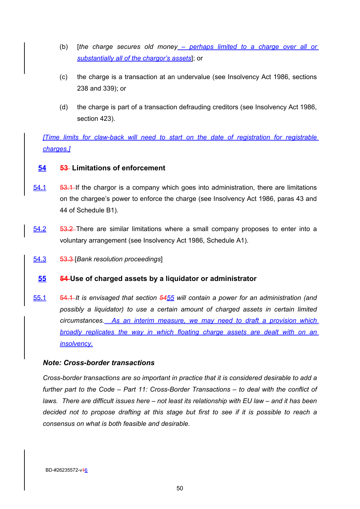- (b) [*the charge secures old money perhaps limited to a charge over all or substantially all of the chargor's assets*]; or
- (c) the charge is a transaction at an undervalue (see Insolvency Act 1986, sections 238 and 339); or
- (d) the charge is part of a transaction defrauding creditors (see Insolvency Act 1986, section 423).

*[Time limits for claw-back will need to start on the date of registration for registrable charges.]*

#### **54 53 Limitations of enforcement**

- 54.1 53.1 If the chargor is a company which goes into administration, there are limitations on the chargee's power to enforce the charge (see Insolvency Act 1986, paras 43 and 44 of Schedule B1).
- 54.2 53.2 There are similar limitations where a small company proposes to enter into a voluntary arrangement (see Insolvency Act 1986, Schedule A1).
- 54.3 53.3 [*Bank resolution proceedings*]

#### **55 54 Use of charged assets by a liquidator or administrator**

55.1 54.1 *It is envisaged that section 5455 will contain a power for an administration (and possibly a liquidator) to use a certain amount of charged assets in certain limited circumstances. As an interim measure, we may need to draft a provision which broadly replicates the way in which floating charge assets are dealt with on an insolvency.*

#### *Note: Cross-border transactions*

*Cross-border transactions are so important in practice that it is considered desirable to add a further part to the Code – Part 11: Cross-Border Transactions – to deal with the conflict of laws. There are difficult issues here – not least its relationship with EU law – and it has been decided not to propose drafting at this stage but first to see if it is possible to reach a consensus on what is both feasible and desirable.*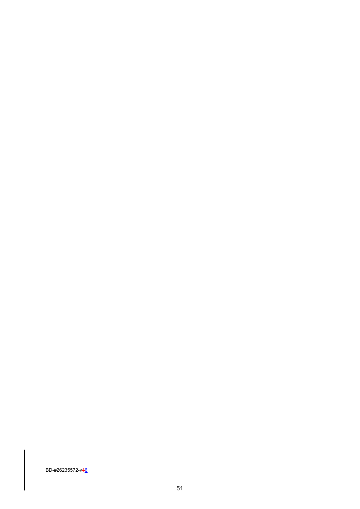BD-#26235572-v4<mark>6</mark>